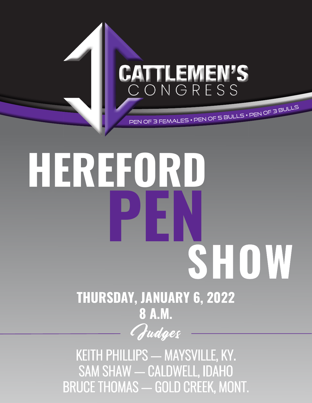# CATTLEMEN'S <sup>P</sup>E<sup>N</sup> <sup>O</sup><sup>F</sup> <sup>3</sup> <sup>F</sup>EMALE<sup>S</sup> • <sup>P</sup>E<sup>N</sup> <sup>O</sup><sup>F</sup> <sup>5</sup> <sup>B</sup>ULL<sup>S</sup> • <sup>P</sup>E<sup>N</sup> <sup>O</sup><sup>F</sup> <sup>3</sup> <sup>B</sup>ULL<sup>S</sup>

# **HEREFORD PEN SHOW**

# **THURSDAY, JANUARY 6, 2022 8 A.M.**

Judges

KEITH PHILLIPS — MAYSVILLE, KY. SAM SHAW - CALDWELL, IDAHO BRUCE THOMAS - GOLD CREEK, MONT.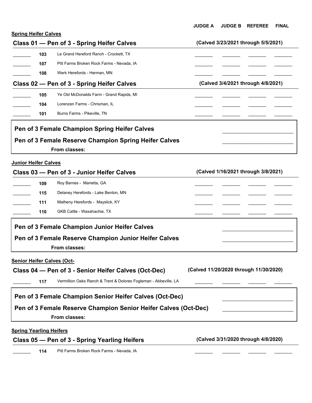|                             |                                                       | <b>JUDGE A</b> | <b>JUDGE B</b> | <b>REFEREE</b>                      | <b>FINAL</b> |
|-----------------------------|-------------------------------------------------------|----------------|----------------|-------------------------------------|--------------|
| <b>Spring Heifer Calves</b> |                                                       |                |                |                                     |              |
|                             | Class 01 - Pen of 3 - Spring Heifer Calves            |                |                | (Calved 3/23/2021 through 5/5/2021) |              |
| 103                         | Le Grand Hereford Ranch - Crockett, TX                |                |                |                                     |              |
| 107                         | Pitt Farms Broken Rock Farms - Nevada, IA             |                |                |                                     |              |
| 108                         | Werk Herefords - Herman, MN                           |                |                |                                     |              |
|                             | Class 02 - Pen of 3 - Spring Heifer Calves            |                |                | (Calved 3/4/2021 through 4/8/2021)  |              |
| 105                         | Ye Old McDonalds Farm - Grand Rapids, MI              |                |                |                                     |              |
| 104                         | Lorenzen Farms - Chrisman, IL                         |                |                |                                     |              |
| 101                         | Burns Farms - Pikeville, TN                           |                |                |                                     |              |
|                             | Pen of 3 Female Champion Spring Heifer Calves         |                |                |                                     |              |
|                             | Pen of 3 Female Reserve Champion Spring Heifer Calves |                |                |                                     |              |
|                             | <b>From classes:</b>                                  |                |                |                                     |              |
|                             |                                                       |                |                |                                     |              |

|     | Class 03 - Pen of 3 - Junior Heifer Calves            | (Calved 1/16/2021 through 3/8/2021) |
|-----|-------------------------------------------------------|-------------------------------------|
| 109 | Roy Barnes - Marietta, GA                             |                                     |
| 115 | Delaney Herefords - Lake Benton, MN                   |                                     |
| 111 | Matheny Herefords - Mayslick, KY                      |                                     |
| 110 | <b>GKB Cattle - Waxahachie, TX</b>                    |                                     |
|     | Pen of 3 Female Champion Junior Heifer Calves         |                                     |
|     | Pen of 3 Female Reserve Champion Junior Heifer Calves |                                     |

**From classes:** 

#### **Senior Heifer Calves (Oct-**

#### **Class 04 — Pen of 3 - Senior Heifer Calves (Oct-Dec) (Calved 11/20/2020 through 11/30/2020)** 117 Vermillion Oaks Ranch & Trent & Dolores Fogleman - Abbeville, LA ٦  $\overline{\phantom{a}}$  , and the set of the set of the set of the set of the set of the set of the set of the set of the set of the set of the set of the set of the set of the set of the set of the set of the set of the set of the s  $\overline{\phantom{a}}$  , and the set of the set of the set of the set of the set of the set of the set of the set of the set of the set of the set of the set of the set of the set of the set of the set of the set of the set of the s **Pen of 3 Female Reserve Champion Senior Heifer Calves (Oct-Dec) Pen of 3 Female Champion Senior Heifer Calves (Oct-Dec)**

**From classes:** 

#### **Spring Yearling Heifers**

#### **Class 05 — Pen of 3 - Spring Yearling Heifers (Calved 3/31/2020 through 4/8/2020)**

114 Pitt Farms Broken Rock Farms - Nevada, IA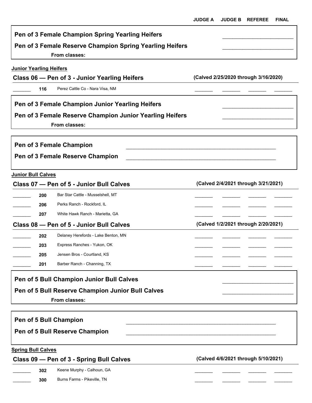|                                |     | Pen of 3 Female Champion Spring Yearling Heifers                          |                                      |
|--------------------------------|-----|---------------------------------------------------------------------------|--------------------------------------|
|                                |     | Pen of 3 Female Reserve Champion Spring Yearling Heifers<br>From classes: |                                      |
| <b>Junior Yearling Heifers</b> |     |                                                                           |                                      |
|                                |     | Class 06 – Pen of 3 - Junior Yearling Heifers                             | (Calved 2/25/2020 through 3/16/2020) |
|                                | 116 | Perez Cattle Co - Nara Visa, NM                                           |                                      |
|                                |     | Pen of 3 Female Champion Junior Yearling Heifers                          |                                      |
|                                |     | Pen of 3 Female Reserve Champion Junior Yearling Heifers                  |                                      |
|                                |     | From classes:                                                             |                                      |
|                                |     | Pen of 3 Female Champion                                                  |                                      |
|                                |     | Pen of 3 Female Reserve Champion                                          |                                      |
|                                |     |                                                                           |                                      |
| <b>Junior Bull Calves</b>      |     |                                                                           |                                      |
|                                |     | Class 07 - Pen of 5 - Junior Bull Calves                                  | (Calved 2/4/2021 through 3/21/2021)  |
|                                | 200 | Bar Star Cattle - Musselshell, MT                                         |                                      |
|                                | 206 | Perks Ranch - Rockford, IL                                                |                                      |
|                                | 207 | White Hawk Ranch - Marietta, GA                                           |                                      |
|                                |     | Class 08 - Pen of 5 - Junior Bull Calves                                  | (Calved 1/2/2021 through 2/20/2021)  |
|                                | 202 | Delaney Herefords - Lake Benton, MN                                       |                                      |
|                                | 203 | Express Ranches - Yukon, OK                                               |                                      |
|                                | 205 | Jensen Bros - Courtland, KS                                               |                                      |
|                                | 201 | Barber Ranch - Channing, TX                                               |                                      |
|                                |     | Pen of 5 Bull Champion Junior Bull Calves                                 |                                      |
|                                |     | Pen of 5 Bull Reserve Champion Junior Bull Calves                         |                                      |
|                                |     | From classes:                                                             |                                      |
|                                |     |                                                                           |                                      |
|                                |     | <b>Pen of 5 Bull Champion</b>                                             |                                      |
|                                |     | Pen of 5 Bull Reserve Champion                                            |                                      |
| <b>Spring Bull Calves</b>      |     |                                                                           |                                      |
|                                |     | Class 09 - Pen of 3 - Spring Bull Calves                                  | (Calved 4/6/2021 through 5/10/2021)  |
|                                | 302 | Keene Murphy - Calhoun, GA                                                |                                      |
|                                | 300 | Burns Farms - Pikeville, TN                                               |                                      |
|                                |     |                                                                           |                                      |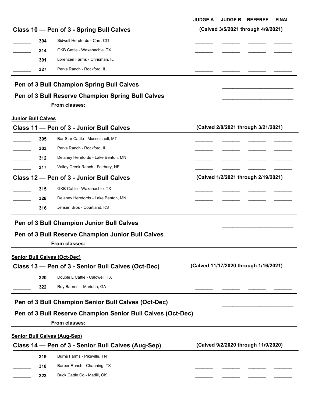**JUDGE A JUDGE B REFEREE FINAL**

|     | Class 10 - Pen of 3 - Spring Bull Calves          | (Calved 3/5/2021 through 4/9/2021) |  |
|-----|---------------------------------------------------|------------------------------------|--|
| 304 | Sidwell Herefords - Carr. CO                      |                                    |  |
| 314 | GKB Cattle - Waxahachie, TX                       |                                    |  |
| 301 | Lorenzen Farms - Chrisman, IL                     |                                    |  |
| 327 | Perks Ranch - Rockford, IL                        |                                    |  |
|     | Pen of 3 Bull Champion Spring Bull Calves         |                                    |  |
|     | Pen of 3 Bull Reserve Champion Spring Bull Calves |                                    |  |
|     | From classes:                                     |                                    |  |

#### **Junior Bull Calves**

|     | Class 11 - Pen of 3 - Junior Bull Calves          | (Calved 2/8/2021 through 3/21/2021) |
|-----|---------------------------------------------------|-------------------------------------|
| 305 | Bar Star Cattle - Musselshell, MT                 |                                     |
| 303 | Perks Ranch - Rockford, IL                        |                                     |
| 312 | Delaney Herefords - Lake Benton, MN               |                                     |
| 317 | Valley Creek Ranch - Fairbury, NE                 |                                     |
|     | Class 12 - Pen of 3 - Junior Bull Calves          | (Calved 1/2/2021 through 2/19/2021) |
| 315 | GKB Cattle - Waxahachie, TX                       |                                     |
| 328 | Delaney Herefords - Lake Benton, MN               |                                     |
| 316 | Jensen Bros - Courtland, KS                       |                                     |
|     | Pen of 3 Bull Champion Junior Bull Calves         |                                     |
|     | Pen of 3 Bull Reserve Champion Junior Bull Calves |                                     |
|     |                                                   |                                     |

|     | Class 13 – Pen of 3 - Senior Bull Calves (Oct-Dec)                                                                                  | (Calved 11/17/2020 through 1/16/2021) |  |
|-----|-------------------------------------------------------------------------------------------------------------------------------------|---------------------------------------|--|
| 320 | Double L Cattle - Caldwell, TX                                                                                                      |                                       |  |
| 322 | Roy Barnes - Marietta, GA                                                                                                           |                                       |  |
|     | Pen of 3 Bull Champion Senior Bull Calves (Oct-Dec)<br>Pen of 3 Bull Reserve Champion Senior Bull Calves (Oct-Dec)<br>From classes: |                                       |  |
|     |                                                                                                                                     |                                       |  |

### **Senior Bull Calves (Aug-Sep) Class 14 — Pen of 3 - Senior Bull Calves (Aug-Sep) (Calved 9/2/2020 through 11/9/2020)**

| 319 | Burns Farms - Pikeville, TN |  |  |
|-----|-----------------------------|--|--|
| 318 | Barber Ranch - Channing, TX |  |  |
| 323 | Buck Cattle Co - Madill, OK |  |  |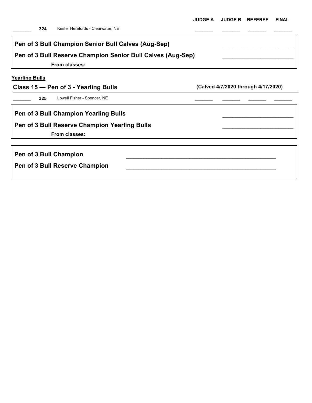| Pen of 3 Bull Champion Senior Bull Calves (Aug-Sep)         |                                     |
|-------------------------------------------------------------|-------------------------------------|
|                                                             |                                     |
| Pen of 3 Bull Reserve Champion Senior Bull Calves (Aug-Sep) |                                     |
| From classes:                                               |                                     |
| <b>Yearling Bulls</b>                                       |                                     |
| Class 15 – Pen of 3 - Yearling Bulls                        | (Calved 4/7/2020 through 4/17/2020) |
| Lowell Fisher - Spencer, NE<br>325                          |                                     |
| Pen of 3 Bull Champion Yearling Bulls                       |                                     |
| Pen of 3 Bull Reserve Champion Yearling Bulls               |                                     |
| From classes:                                               |                                     |
|                                                             |                                     |
| Pen of 3 Bull Champion                                      |                                     |
| Pen of 3 Bull Reserve Champion                              |                                     |
|                                                             |                                     |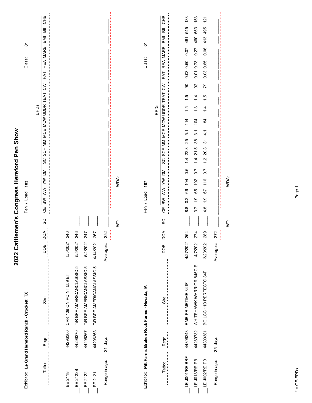|                 |          | Exhibitor: Le Grand Hereford Ranch - Crockett, TX    |                      | Σ<br>Class:<br>103<br>Pen / Load:                                                                                                                                                                                                           |
|-----------------|----------|------------------------------------------------------|----------------------|---------------------------------------------------------------------------------------------------------------------------------------------------------------------------------------------------------------------------------------------|
| Tattoo          | Regn     | Sire                                                 | $\delta$<br>⊔<br>BOG | <b>CHB</b><br>高<br><b>IINB</b><br>REA MARB<br>FAT<br>$\lesssim$<br>SCF MM MCE MCW UDDR TEAT<br>EPDs<br>ပ္တ<br><b>NI</b><br>$\geqslant$<br>$\geqslant$<br>$\geqslant$<br>Ψ<br>SC                                                             |
|                 |          |                                                      |                      |                                                                                                                                                                                                                                             |
| <b>BE 2118</b>  | 44296360 | CRR 109 ON POINT 559 ET                              | 246<br>5/5/2021      |                                                                                                                                                                                                                                             |
| <b>BE 2123B</b> | 44296370 | T/R BPF AMERICANCLASSIC 5                            | 246<br>5/5/2021      |                                                                                                                                                                                                                                             |
| <b>BE 2122</b>  | 44296367 | T/R BPF AMERICANCLASSIC 5                            | 247<br>5/4/2021      |                                                                                                                                                                                                                                             |
| BE 2121         | 44296363 | T/R BPF AMERICANCLASSIC 5                            | 267<br>4/14/2021     |                                                                                                                                                                                                                                             |
| Range in age:   | 21 days  |                                                      | 252<br>Averages:     |                                                                                                                                                                                                                                             |
|                 |          |                                                      |                      | WDA:<br>İ                                                                                                                                                                                                                                   |
|                 |          |                                                      |                      |                                                                                                                                                                                                                                             |
|                 |          | Exhibitor: Pitt Farms Broken Rock Farms - Nevada, IA |                      | Σ<br>Class:<br>Pen / Load: 107                                                                                                                                                                                                              |
|                 |          |                                                      |                      | EPDs                                                                                                                                                                                                                                        |
| Tattoo          | Regn     | Sire                                                 | DOA<br><b>BOD</b>    | <b>CHB</b><br>高<br>BMI<br>REA MARB<br>FAT<br>$\mathsf{S}$<br>TEAT<br>SCF MM MCE MCW UDDR<br>SC<br>$\overline{\mathbb{M}}$<br>$\geqslant$<br>$\sum_{i=1}^{n}$<br>$\geq$<br>巴<br>O<br>SC                                                      |
|                 |          |                                                      |                      |                                                                                                                                                                                                                                             |
| LE JOO1/RE BRF  | 44306243 | RMB PRIMETIME 341F                                   | 254<br>4/27/2021     | 133<br>545<br>461<br>0.07<br>0.03 0.50<br>$\mathbf{S}$<br>$\frac{5}{1}$<br>$\ddot{5}$<br>114<br>5.1<br>25<br>22.8<br>$\frac{4}{1}$<br>0.6<br>104<br>66<br>0.2<br>$\frac{8}{8}$                                                              |
| $LE$ J018/REPB  | 44289732 | WHITEHAWK WARRIOR 845C E                             | 274<br>4/7/2021      | 153<br>553<br>460<br>0.27<br>0.73<br>0.01<br>92<br>$\frac{4}{4}$<br>$\ddot{.}$<br>104<br>$\overline{3}$ .<br>$38\,$<br>21.5<br>$\frac{4}{1}$<br>$\overline{0}$ .<br>102<br>65<br>$\frac{0}{1}$<br>3.7                                       |
| LE JOO2/RE PB   | 44300381 | BG LCC 11B PERFECTO 84F                              | 289<br>3/23/2021     | $\overline{21}$<br>495<br>413<br>0.06<br>0.03 0.65<br>79<br>$\frac{5}{1}$<br>$\frac{4}{1}$<br>84<br>$\frac{1}{4}$<br>$\overline{\widetilde{\mathcal{E}}}$<br>20.3<br>$\frac{2}{1}$<br>$\overline{0.7}$<br>116<br>67<br>$\frac{0}{1}$<br>4.8 |
| Range in age:   | 35 days  |                                                      | 272<br>Averages:     |                                                                                                                                                                                                                                             |
|                 |          |                                                      |                      | WDA:<br>ξ                                                                                                                                                                                                                                   |

2022 Cattlemen's Congress Hereford Pen Show

# $* = GE-EPDs$ \* = GE-EPDs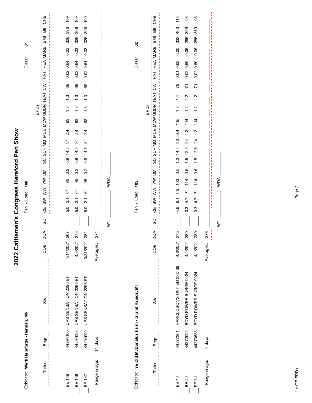| Exhibitor: Werk Herefords - Herman, MN |          |                                                     |                   |    | Σ<br>Class:<br>108<br>Pen / Load:                                                                                                                                                      |                 |
|----------------------------------------|----------|-----------------------------------------------------|-------------------|----|----------------------------------------------------------------------------------------------------------------------------------------------------------------------------------------|-----------------|
| Tattoo                                 | Regn     | Sire                                                | DОД<br><b>BOO</b> | SC | BMI<br>REA MARB<br>FAT<br>$\tilde{\varepsilon}$<br>SCF MM MCE MCW UDDR TEAT<br>EPDs<br>SC<br>BW WW YW DMI<br>Ψ                                                                         | <b>CHB</b><br>高 |
|                                        |          |                                                     |                   |    |                                                                                                                                                                                        |                 |
| BE 149                                 |          | 44294100 UPS SENSATION 2296 ET                      | 267<br>4/14/2021  |    | 326<br>0.03<br>0.02 0.64<br>69<br>$\frac{3}{2}$<br>$\frac{3}{1}$<br>83<br>2.4<br>$\overline{3}$<br>14.5<br>$\frac{0}{2}$<br>0.2<br>95<br>6<br>$\overline{2.1}$<br>5.0                  | 109<br>396      |
| BE 148                                 | 44294093 | UPS SENSATION 2296 ET                               | 273<br>4/8/2021   |    | 326<br>0.03<br>0.64<br>0.02<br>69<br>$\frac{3}{2}$<br>$\frac{3}{1}$<br>83<br>2.4<br>5<br>14.5<br>0.9<br>0.2<br>95<br>67<br>$\overline{21}$<br>5.0                                      | 109<br>396      |
| BE 147                                 | 44294090 | UPS SENSATION 2296 ET                               | 281<br>3/31/2021  |    | 326<br>0.03<br>0.64<br>0.02<br>69<br>$\frac{3}{2}$<br>$\frac{3}{2}$<br>83<br>2.4<br>91<br>14.5<br>0.9<br>0.2<br>95<br>67<br>$\overline{2.1}$<br>5.0                                    | 109<br>396      |
| Range in age:                          | 14 days  |                                                     | 274<br>Averages:  |    |                                                                                                                                                                                        |                 |
|                                        |          |                                                     |                   | İ  | WDA:                                                                                                                                                                                   |                 |
|                                        |          |                                                     |                   |    |                                                                                                                                                                                        |                 |
|                                        |          | Exhibitor: Ye Old McDonalds Farm - Grand Rapids, MI |                   |    | 20<br>Class:<br>105<br>Pen / Load:                                                                                                                                                     |                 |
|                                        |          |                                                     |                   |    | EPDs                                                                                                                                                                                   |                 |
| Tattoo                                 | Regn     | Sire                                                | DOA<br><b>BOD</b> | SC | ВMI<br>REA MARB<br>FAT<br>$\mathsf{S}$<br>MCE MCW UDDR TEAT<br>SCF MM<br>SC<br>ΜŪ<br>$\geqslant$<br><b>NW</b><br>$\geq$<br><b>UD</b>                                                   | <b>CHB</b><br>高 |
|                                        |          |                                                     |                   |    |                                                                                                                                                                                        |                 |
| <b>BE4J</b>                            | 44277301 | HAROLDSON'S UNITED 33D 36                           | 275<br>4/6/2021   |    | 332<br>0.00<br>0.62<br>0.01<br>78<br>$\frac{4}{4}$<br>$\ddot{.}$<br>115<br>$-3.4$<br>30<br>14.5<br>$\ddot{.}3$<br>0.5<br>103<br>65<br>6.1<br>$-4.6$                                    | 113<br>403      |
| BE <sub>2</sub> J                      | 44272094 | BOYD POWER SURGE 9024                               | 280<br>4/1/2021   |    | 286<br>$-0.06$<br>0.50<br>0.02<br>$\overline{7}$<br>$\frac{2}{1}$<br>$\frac{2}{1}$<br>114<br>$-1.3$<br>$\overline{24}$<br>12.5<br>ro.<br>0.6<br>114<br>$\overline{7}$<br>4.7<br>$-0.3$ | 88<br>359       |
| BE 3J                                  | 44273583 | BOYD POWER SURGE 9024                               | 280<br>4/1/2021   |    | 286<br>$-0.06$<br>0.02 0.50<br>71<br>$\frac{2}{1}$<br>$\frac{2}{1}$<br>114<br>$-1.3$<br>24<br>12.5<br>$\frac{1}{1}$<br>0.6<br>114<br>$\overline{z}$<br>4.7<br>$-0.3$                   | 88<br>359       |
| Range in age:                          | 5 days   |                                                     | 278<br>Averages:  |    |                                                                                                                                                                                        |                 |
|                                        |          |                                                     |                   | ţ  | WDA:                                                                                                                                                                                   |                 |
|                                        |          |                                                     |                   |    |                                                                                                                                                                                        |                 |

2022 Cattlemen's Congress Hereford Pen Show

 $* = GE-EPDs$ \* = GE-EPDs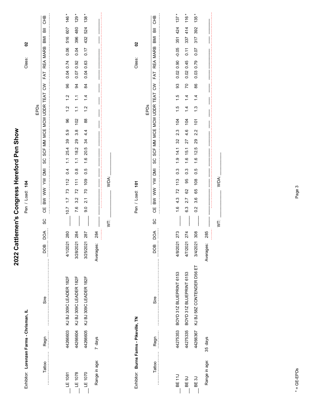| Exhibitor: Lorenzen Farms - Chrisman, IL |          |                                |                   | $\mathbf{S}$<br>Class:<br>104<br>Pen / Load:                                                                                                                                                 |            |
|------------------------------------------|----------|--------------------------------|-------------------|----------------------------------------------------------------------------------------------------------------------------------------------------------------------------------------------|------------|
| Tattoo                                   | Regn     | Sire                           | DOA<br><b>BOO</b> | 高<br>BMI<br>REA MARB<br>FAT<br>SCF MM MCE MCW UDDR TEAT CW<br>EPDs<br>SC<br><b>ING MA AM AM DRI</b><br>UU<br>SC                                                                              | CHB        |
| LE 1081                                  |          | 4426603 KJ BJ 309C LEADER 182F | 280<br>4/1/2021   | 607<br>516<br>0.06<br>0.74<br>0.04<br>96<br>$\frac{1}{\sqrt{2}}$<br>$\frac{2}{1}$<br>96<br>5.9<br>89<br>25.4<br>$\tilde{\cdot}$<br>0.4<br>112<br>$\overline{73}$<br>$\overline{1}$ .<br>10.7 | 146*       |
| $-E 1078$                                | 44266604 | KJ BJ 309C LEADER 182F         | 284<br>3/28/2021  | 480<br>396<br>0.04<br>0.92<br>0.07<br>34<br>$\tilde{L}$<br>$\tilde{L}$<br>102<br>3.8<br>29<br>18.2<br>$\frac{1}{1}$<br>$0.\overline{8}$<br>111<br>72<br>3.2<br>7.6                           | 129        |
| $-$ LE 1070                              | 44266605 | KJ BJ 309C LEADER 182F         | 287<br>3/25/2021  | 524<br>432<br>0.17<br>0.63<br>0.04<br>$\frac{8}{4}$<br>$\overline{4}$<br>$\frac{2}{1}$<br>$^{\rm 8}$<br>4.4<br>34<br>20.5<br>$\frac{6}{1}$<br>0.5<br>109<br>20<br>$\overline{2.1}$<br>9.0    | $138 *$    |
| Range in age:                            | 7 days   |                                | 284<br>Averages:  |                                                                                                                                                                                              |            |
|                                          |          |                                |                   | WDA:<br>İ.                                                                                                                                                                                   |            |
| Exhibitor: Burns Farms - Pikeville, TN   |          |                                |                   | 20<br>Class:<br>Pen / Load: 101                                                                                                                                                              |            |
| Tattoo                                   | Regn     | Sire                           | DOA<br>DOB        | 高<br><b>IMB</b><br>REA MARB<br>FAT<br>$\mathsf{S}$<br>SCF MM MCE MCW UDDR TEAT<br>EPDs<br>SC<br>ΜÜ<br>$\geqslant$<br><b>NN</b><br>$\geqslant$<br>Ψ<br>SC                                     | <b>CHB</b> |
|                                          |          |                                |                   |                                                                                                                                                                                              |            |
| <b>BE11</b>                              | 44275353 | BOYD 31Z BLUEPRINT 6153        | 273<br>4/8/2021   | 424<br>351<br>$-0.05$<br>0.02 0.90<br>93<br>$\frac{6}{1}$<br>$\frac{6}{1}$<br>104<br>2.3<br>32<br>$1.9$ 14.1<br>$\frac{3}{2}$<br>113<br>72<br>4.3<br>$\frac{6}{1}$                           | $137 *$    |
| <b>BE 9J</b>                             | 44275335 | BOYD 31Z BLUEPRINT 6153        | 274<br>4/7/2021   | 414<br>337<br>$\overline{0.11}$<br>0.45<br>0.02<br>20<br>$\overline{4}$<br>$\overline{4}$<br>104<br>4.6<br>27<br>15.1<br>$\frac{6}{1}$<br>$0.\overline{3}$<br>95<br>8<br>2.7<br>6.3          | $116 *$    |
| BE 3J                                    | 44266367 | KJ BJ 58Z CONTENDER D56 ET     | 308<br>3/4/2021   | 392<br>317<br>0.07<br>0.79<br>0.03<br>86<br>$\frac{1}{4}$<br>$\frac{3}{1}$<br>$\overline{101}$<br>2.2<br>29<br>12.5<br>$\frac{6}{1}$<br>0.5<br>108<br>65<br>ဖ<br>က<br>0.2                    | $135 *$    |
| Range in age:                            | 35 days  |                                | 285<br>Averages:  |                                                                                                                                                                                              |            |
|                                          |          |                                |                   | WDA:<br>İ.                                                                                                                                                                                   |            |

2022 Cattlemen's Congress Hereford Pen Show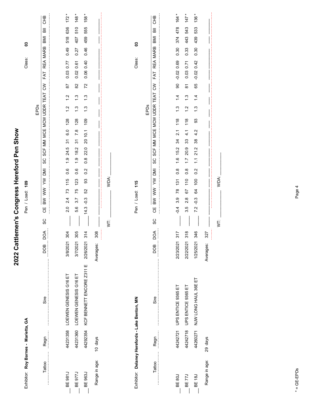| Exhibitor: Roy Barnes - Marietta, GA           |          |                                |                  |                         | $\boldsymbol{3}$<br>Class:<br>109<br>Pen / Load:                                                                                                                                          |                                                     |
|------------------------------------------------|----------|--------------------------------|------------------|-------------------------|-------------------------------------------------------------------------------------------------------------------------------------------------------------------------------------------|-----------------------------------------------------|
| Tattoo                                         | Regn     | Sire                           | DOA<br>BOO       | SC                      | REA MARB<br>FAT<br>$\lesssim$<br>SCF MM MCE MCW UDDR TEAT<br>EPDs<br>SC<br>IMO MA<br>BW WW<br>UU                                                                                          | CHB<br>$\overline{a}$<br>BMI                        |
|                                                |          |                                |                  |                         |                                                                                                                                                                                           |                                                     |
| <b>BE 981J</b>                                 |          | 44231358 LOEWEN GENESIS G16 ET | 304<br>3/8/2021  |                         | 0.49<br>0.03 0.77<br>$\overline{8}$<br>$\frac{2}{1}$<br>$\frac{2}{1}$<br>128<br>0.0<br>$\tilde{\bm{c}}$<br>24.5<br>$\ddot{6}$<br>0.6<br>115<br>73<br>2.4<br>$\overline{2.0}$              | 172<br>636<br>518                                   |
| <b>BE 977J</b>                                 | 44231360 | LOEWEN GENESIS G16 ET          | 305<br>3/7/2021  |                         | 0.27<br>0.61<br>0.02<br>$\rm 82$<br>$\ddot{.}$<br>$\ddot{.}$<br>128<br>$\frac{8}{1}$<br>91<br>18.2<br>$\frac{0}{1}$<br>0.6<br>123<br>75<br>3.7<br>56                                      | 148<br>510<br>407                                   |
| BE 963J                                        | 44292354 | KCF BENNETT ENCORE Z311 E      | 314<br>2/26/2021 |                         | 0.46<br>0.40<br>0.06<br>72<br>$\frac{3}{2}$<br>$\frac{3}{2}$<br>109<br>20 10.1<br>22.0<br>$\frac{8}{2}$<br>0.2<br>33<br>S<br>$-0.3$<br>14.3                                               | $\ast$<br>158<br>555<br>459                         |
| Range in age:                                  | 10 days  |                                | 308<br>Averages: |                         |                                                                                                                                                                                           |                                                     |
|                                                |          |                                |                  | İ.                      | WDA:                                                                                                                                                                                      |                                                     |
|                                                |          |                                |                  |                         |                                                                                                                                                                                           |                                                     |
| Exhibitor: Delaney Herefords - Lake Benton, MN |          |                                |                  |                         | 3<br>Class:<br>115<br>Pen / Load:                                                                                                                                                         |                                                     |
|                                                |          |                                |                  |                         | EPDs                                                                                                                                                                                      |                                                     |
| Tattoo                                         | Regn     | Sire                           | DOA<br>DOB       | SC                      | <b>MARB</b><br><b>REA</b><br>FAT<br>$\mathsf{S}^{\mathsf{S}}$<br>TEAT<br>MCE MCW UDDR<br>SCF MM<br>SC<br><b>NO</b><br>ξ<br><b>NW</b><br>$\geq$<br>ŰΘ                                      | 운<br>이<br>$\overline{\overline{\mathbf{a}}}$<br>IMB |
|                                                |          |                                |                  |                         |                                                                                                                                                                                           |                                                     |
| BE 80J                                         | 44242721 | UPS ENTICE 9365 ET             | 317<br>2/23/2021 |                         | 0.30<br>0.69<br>$-0.02$<br>8<br>$\dot{4}$<br>$\ddot{.}$<br>118<br>$\overline{2.1}$<br>34<br>15.2<br>$\frac{6}{1}$<br>$\frac{8}{2}$<br>$\frac{131}{2}$<br>$\overline{78}$<br>3.9<br>$-0.4$ | $164 *$<br>478<br>374                               |
| <b>BE77J</b>                                   | 44242718 | UPS ENTICE 9365 ET             | 318<br>2/22/2021 |                         | 0.33<br>0.71<br>0.03<br>$\frac{1}{\infty}$<br>$\ddot{.}$<br>$\frac{2}{1}$<br>118<br>4.1<br>33<br>20.9<br>$\ddot{ }$ :<br>$0.\overline{8}$<br>110<br>67<br>2.8<br>3.5                      | $147 *$<br>543<br>443                               |
| <b>BE 18J</b>                                  |          | 44260271 NJW LONG HAUL 36E ET  | 346<br>1/25/2021 |                         | 0.30<br>$-0.02$ 0.42<br>65<br>$\overline{4}$<br>$\frac{3}{2}$<br>33<br>4.2<br>38<br>21.2<br>$\frac{1}{1}$<br>0.2<br>100<br>64<br>$-0.3$<br>7.2                                            | 136*<br>533<br>439                                  |
| Range in age:                                  | 29 days  |                                | 327<br>Averages: |                         |                                                                                                                                                                                           |                                                     |
|                                                |          |                                |                  | $\overline{\mathsf{S}}$ | WDA:                                                                                                                                                                                      |                                                     |
|                                                |          |                                |                  |                         |                                                                                                                                                                                           |                                                     |

 $* = GE-EPDs$ \* = GE-EPDs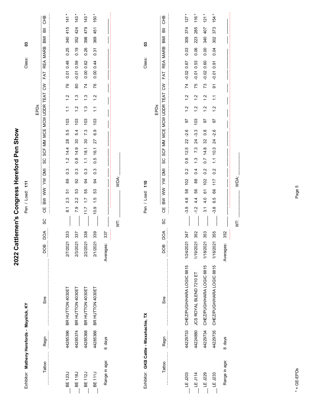| Exhibitor: Matheny Herefords - Mayslick, KY |          |                           |                   | 3<br>Class:<br>$\ddot{t}$<br>Pen / Load:                                                                                                                                                                        |               |
|---------------------------------------------|----------|---------------------------|-------------------|-----------------------------------------------------------------------------------------------------------------------------------------------------------------------------------------------------------------|---------------|
|                                             |          |                           |                   | EPDs                                                                                                                                                                                                            |               |
| Tattoo                                      | Regn     | Sire                      | DOA<br><b>BOD</b> | <b>CHB</b><br>$\overline{a}$<br><b>IMB</b><br><b>MARB</b><br><b>REA</b><br>FAT<br>$\mathsf{S}$<br>TEAT<br>SCF MM MCE MCW UDDR<br>SC<br><b>IMI</b><br>$\tilde{\ge}$<br>$\geqslant$<br>$\geq$<br>巴<br>C<br>SC     |               |
| BE 123J                                     | 44285396 | BR HUTTON 4030ET          | 333<br>2/7/2021   | 415<br>340<br>0.25<br>0.48<br>0.01<br>76<br>$\frac{2}{1}$<br>$\tilde{\cdot}$<br>103<br>5.5<br>$^{28}$<br>14.4<br>$\frac{2}{1}$<br>$0.\overline{3}$<br>89<br>5<br>2.3<br>$\overline{\mathbf{8}}$                 | $\frac{4}{1}$ |
| BE 118J                                     | 44285374 | BR HUTTON 4030ET          | 337<br>2/3/2021   | 424<br>352<br>0.19<br>0.59<br>$-0.01$<br>$\rm{8}$<br>$\frac{3}{2}$<br>$\frac{2}{1}$<br>103<br>5.4<br>$\boldsymbol{\mathcal{S}}$<br>14.9<br>$\frac{8}{2}$<br>$0.\overline{3}$<br>92<br>53<br>2.2<br>7.9          | 143           |
| BE 112J                                     | 44285368 | BR HUTTON 4030ET          | 338<br>2/2/2021   | 479<br>398<br>0.26<br>0.62<br>0.00<br>$\overline{7}$<br>$\frac{3}{2}$<br>$\frac{3}{1}$<br>103<br>7.3<br>$\mathcal{S}^{\circ}$<br>18.1<br>$\frac{1}{1}$<br>$0.\overline{3}$<br>3<br>55<br>$\overline{1}$<br>11.7 | 143           |
| BE 111J                                     | 44285366 | BR HUTTON 4030ET          | 339<br>2/1/2021   | 451<br>369<br>0.31<br>0.00 0.44<br>76<br>$\frac{2}{1}$<br>$\tilde{L}$<br>103<br>6.9<br>27<br>16.1<br>0.5<br>$0.\overline{3}$<br>3<br>53<br>$\frac{1}{1}$<br>10.9                                                | 150 *         |
| Range in age:                               | 6 days   |                           | 337<br>Averages:  |                                                                                                                                                                                                                 |               |
|                                             |          |                           |                   | WDA:<br>Ż                                                                                                                                                                                                       |               |
| Exhibitor: GKB Cattle - Waxahachie, TX      |          |                           |                   | 3<br>Class:<br>110<br>Pen / Load:                                                                                                                                                                               |               |
|                                             |          |                           |                   | EPDs                                                                                                                                                                                                            |               |
| Tattoo                                      | Regn     | Sire                      | DОД<br>DOB        | <b>CHB</b><br>IMB<br><b>MARB</b><br><b>REA</b><br>FAT<br>$\mathsf{S}$<br>TEAT<br>SCF MM MCE MCW UDDR<br>SC<br><b>IMI</b><br>⋛<br>$\geqslant$<br>$\geqslant$<br>Ψ<br>SC                                          |               |
| $-E$ J203                                   | 44229733 | CHEZ/PUGH/HARA LOGIC 8815 | 347<br>1/24/2021  | 127<br>374<br>309<br>0.03<br>$-0.02 0.67$<br>$\overline{7}$<br>$\frac{2}{1}$<br>$\frac{2}{1}$<br>5<br>$-2.6$<br>22<br>12.5<br>$\frac{8}{2}$<br>0.2<br>102<br>58<br>$4.\overline{8}$<br>$-3.9$                   |               |
| $-EJ114$                                    | 44224880 | JCS ROYAL BLEND 7210 ET   | 352<br>1/19/2021  | 285<br>223<br>0.06<br>$-0.01$ 0.53<br>75<br>$\frac{2}{1}$<br>$\frac{2}{1}$<br>103<br>$-3.3$<br>24<br>7.3<br>$\frac{3}{1}$<br>0.4<br>$^{\circ}_{\infty}$<br>SS<br>4.4<br>$-1.2$                                  | 116           |
| $-E$ J229                                   | 44229734 | CHEZ/PUGH/HARA LOGIC 8815 | 353<br>1/18/2021  | 407<br>340<br>0.00<br>0.60<br>$-0.02$<br>73<br>$\frac{2}{1}$<br>$\frac{2}{1}$<br>5<br>$0.\overline{8}$<br>32<br>14.8<br>$\overline{0}$ .7<br>0.2<br>102<br>67<br>4.0<br>3.1                                     | $121*$        |
| LE J233                                     | 44229735 | CHEZ/PUGH/HARA LOGIC 8815 | 355<br>1/16/2021  | 373<br>302<br>0.04<br>0.91<br>$-0.01$<br>$\overline{5}$<br>$\mathbb{Z}$<br>$\frac{2}{1}$<br>57<br>$-2.6$<br>$\overline{24}$<br>10.3<br>$\frac{1}{2}$<br>0.2<br>117<br>66<br>6.5<br>3.8                          | 154           |
| Range in age:                               | 8 days   |                           | 352<br>Averages:  |                                                                                                                                                                                                                 |               |
|                                             |          |                           |                   | WDA:<br>ţ                                                                                                                                                                                                       |               |
|                                             |          |                           |                   |                                                                                                                                                                                                                 |               |

2022 Cattlemen's Congress Hereford Pen Show

# $* = GE-EPDS$ \* = GE-EPDs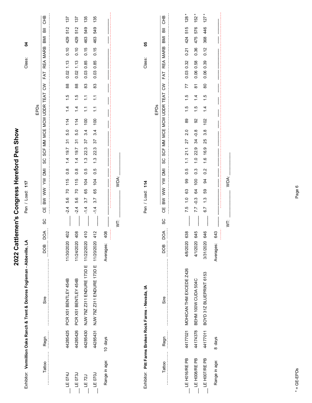|                    |          | Exhibitor: Vermillion Oaks Ranch & Trent & Dolores Fogleman - Abbeville, LA |                   |    | 117<br>Pen / Load:                                                                                                                                              | 2<br>Class:                                     |
|--------------------|----------|-----------------------------------------------------------------------------|-------------------|----|-----------------------------------------------------------------------------------------------------------------------------------------------------------------|-------------------------------------------------|
| Tattoo             | Regn     | Sire                                                                        | DOA<br>BOO        | SC | FAT<br>$\lesssim$<br>SCF MM MCE MCW UDDR TEAT<br>EPDs<br>ပ္တ<br>BW WW YW DMI<br>4O                                                                              | <b>CHB</b><br>$\overline{a}$<br>BMI<br>REA MARB |
|                    |          |                                                                             |                   |    |                                                                                                                                                                 |                                                 |
| LE 074J            | 44285425 | PCR X51 BENTLEY 454B                                                        | 402<br>11/30/2020 |    | $0.02$ 1.13<br>$^{\rm 8}$<br>$\frac{1}{1}$<br>$\frac{4}{1}$<br>114<br>5.0<br>$\tilde{\mathcal{E}}$<br>1.4 19.7<br>$\frac{8}{2}$<br>115<br>20<br>56<br>$-2.4$    | 137<br>512<br>429<br>0.10                       |
| LE 073J            | 44285426 | PCR X51 BENTLEY 454B                                                        | 408<br>11/24/2020 |    | 0.02<br>88<br>$\frac{5}{1}$<br>$\frac{1}{4}$<br>114<br>5.0<br>94<br>19.7<br>$\frac{1}{4}$<br>$\frac{8}{2}$<br>115<br>20<br>5.6<br>$-2.4$                        | 137<br>512<br>429<br>0.10<br>1.13               |
| LE <sub>72</sub> J | 44285430 | NJW 79Z Z311 ENDURE 173D E 11/22/2020                                       | 410               |    | 0.03<br>83<br>$\frac{1}{2}$<br>$\tilde{\cdot}$<br>100<br>3.4<br>57<br>22.3<br>$\ddot{.}3$<br>0.5<br>104<br>65<br>3.7<br>$-1.4$                                  | 135<br>549<br>463<br>0.15<br>0.85               |
| <b>LE 070J</b>     | 44285431 | NJW 79Z Z311 ENDURE 173D E                                                  | 412<br>11/20/2020 |    | 0.03<br>83<br>Ξ<br>$\tilde{\cdot}$<br>100<br>3.4<br>57<br>22.3<br>$\ddot{.}$<br>0.5<br>104<br>65<br>3.7<br>$-1.4$                                               | 135<br>549<br>463<br>0.15<br>0.85               |
| Range in age:      | 10 days  |                                                                             | 408<br>Averages:  |    |                                                                                                                                                                 |                                                 |
|                    |          |                                                                             |                   | İ  | WDA:                                                                                                                                                            |                                                 |
|                    |          |                                                                             |                   |    |                                                                                                                                                                 |                                                 |
|                    |          | Exhibitor: Pitt Farms Broken Rock Farms - Nevada, IA                        |                   |    | Pen / Load: 114                                                                                                                                                 | 8<br>Class:                                     |
|                    |          |                                                                             |                   |    | EPDs                                                                                                                                                            |                                                 |
| Tattoo             | Regn     | Sire                                                                        | DOA<br>DOB        | SC | FAT<br>$\zeta$<br>SCF MM MCE MCW UDDR TEAT<br>SC<br>BW WW YW DMI<br>Ψ                                                                                           | <b>CHB</b><br>BMI<br>REA MARB                   |
|                    |          |                                                                             |                   |    |                                                                                                                                                                 |                                                 |
| LE HO16/RE PB      | 44177021 | MOHICAN THM EXCEDE Z426                                                     | 638<br>4/8/2020   |    | 0.03 0.32<br>77<br>1.5<br>1.5<br>89<br>2.0<br>27<br>21.1<br>$\overline{C}$<br>0.5<br>99<br>63<br>$\frac{0}{1}$<br>7.5                                           | 128<br>515<br>424<br>0.21                       |
| LE H008/RE PB      | 44174378 | BEHM 100W CUDA 504C                                                         | 645<br>4/1/2020   |    | 0.06<br>$\overline{\infty}$<br>$\overline{4}$<br>$\frac{1}{1}$<br>92<br>$-0.8$<br>34<br>22.9<br>$\frac{0}{1}$<br>$0.\overline{3}$<br>100<br>64<br>$-0.3$<br>7.7 | 152<br>576<br>475<br>0.36<br>0.58               |
| LE HOO7/RE PB      | 44177011 | BOYD 31Z BLUEPRINT 6153                                                     | 646<br>3/31/2020  |    | 0.06<br>80<br>$\frac{5}{1}$<br>$\dot{4}$<br>102<br>3.8<br>25<br>16.9<br>$\frac{6}{1}$<br>0.2<br>3<br>SS<br>$\ddot{.}3$<br>6.7                                   | 127<br>446<br>368<br>0.12<br>0.39               |
| Range in age:      | 8 days   |                                                                             | 643<br>Averages:  |    |                                                                                                                                                                 |                                                 |
|                    |          |                                                                             |                   | ξ  | WDA:                                                                                                                                                            |                                                 |

2022 Cattlemen's Congress Hereford Pen Show

 $* = GE-EPDS$ \* = GE-EPDs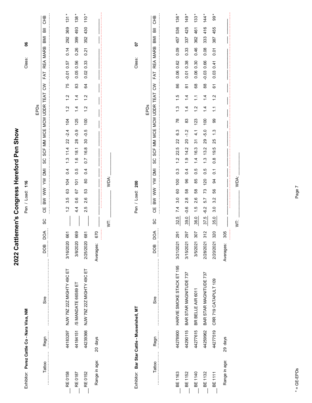| Exhibitor: Perez Cattle Co - Nara Visa, NM   |          |                           |                  | 116<br>Pen / Load:                                                                                                                                                        | န္တ<br>Class:                                                          |
|----------------------------------------------|----------|---------------------------|------------------|---------------------------------------------------------------------------------------------------------------------------------------------------------------------------|------------------------------------------------------------------------|
| Tattoo                                       | Regn     | Sire                      | бQ<br><b>BOO</b> | TEAT<br>SCF MM MCE MCW UDDR<br>EPDs<br>SC<br>ΜQ<br>ξ<br>$\geqslant$<br>$\geqslant$<br>ЧÖ<br>SC                                                                            | 운<br>5<br>듦<br><b>IMB</b><br><b>MARB</b><br><b>REA</b><br>FAT<br>$\xi$ |
|                                              |          |                           |                  |                                                                                                                                                                           |                                                                        |
| <b>RE 0158</b>                               | 44183297 | NJW 79Z 22Z MIGHTY 49C ET | 661<br>3/16/2020 | $\frac{2}{1}$<br>$\frac{2}{1}$<br>104<br>$-2.4$<br>$\overline{2}$<br>11.4<br>$\ddot{3}$<br>$\overline{0}$<br>104<br>63<br>rö.<br>က<br>$\frac{2}{1}$                       | $\star$<br>131<br>369<br>292<br>0.14<br>0.57<br>$-0.01$<br>75          |
| RE 0187                                      | 44184151 | /S MANDATE 66589 ET       | 669<br>3/8/2020  | $\overline{1}$<br>$\frac{1}{4}$<br>125<br>$-0.9$<br>28<br>18.1<br>$\frac{6}{1}$<br>0.5<br>$\overline{5}$<br>67<br>0.6<br>$4\overline{4}$                                  | $138*$<br>493<br>399<br>0.26<br>0.56<br>0.05<br>83                     |
| <b>RE0152</b>                                | 44239366 | NJW 79Z 22Z MIGHTY 49C ET | 681<br>2/25/2020 | $\frac{2}{1}$<br>$\frac{2}{1}$<br>100<br>$-0.5$<br>30<br>16.8<br>$\overline{0}$ .<br>0.4<br>80<br>53<br>2.6<br>2.5                                                        | $110 *$<br>430<br>352<br>0.21<br>0.33<br>0.02<br>34                    |
| Range in age:                                | 20 days  |                           | 670<br>Averages: |                                                                                                                                                                           |                                                                        |
|                                              |          |                           |                  | WDA:<br>Ż                                                                                                                                                                 |                                                                        |
|                                              |          |                           |                  |                                                                                                                                                                           |                                                                        |
| Exhibitor: Bar Star Cattle - Musselshell, MT |          |                           |                  | Pen / Load: 200                                                                                                                                                           | 5<br>Class:                                                            |
|                                              |          |                           |                  | EPDs                                                                                                                                                                      |                                                                        |
|                                              |          |                           |                  |                                                                                                                                                                           |                                                                        |
| Tattoo                                       | Regn     | Sire                      | ĎО<br>DOB        | $\tilde{\varepsilon}$<br>SCF MM MCE MCW UDDR TEAT<br>SC<br>$\overline{\mathsf{M}}$<br>BW WW YW<br>巴<br>O<br>SC                                                            | <b>CHB</b><br>高<br>BMI<br>REA MARB<br>FAT                              |
| BE 1163                                      | 44278900 | HARVIE SMOKE STACK ET 195 | 291<br>3/21/2021 | $\frac{5}{1}$<br>$\ddot{.}$<br>$\frac{8}{2}$<br>6.3<br>22<br>22.5<br>$\frac{1}{2}$<br>$0.\overline{3}$<br>100<br>60<br>3.0<br>7.4<br>32.5                                 | 136 *<br>536<br>457<br>0.09<br>0.62<br>0.06<br>86                      |
| BE 1152                                      | 44290115 | BAR STAR MAGNITUDE 737    | 297<br>3/15/2021 | $\frac{4}{1}$<br>$\overline{4}$<br>83<br>$-1.2$<br>$\overline{c}$<br>14.2<br>$\ddot{ }$ .<br>$\overline{0}$<br>96<br>58<br>œ<br>$\overline{\mathsf{N}}$<br>$-0.6$<br>39.0 | 149<br>425<br>337<br>0.33<br>0.38<br>0.01<br>$\overline{\infty}$       |
| BE 1140                                      | 44277615 | BR BELLE AIR 6011         | 307<br>3/5/2021  | $\tilde{\cdot}$<br>$\ddot{ }$<br>123<br>4.1<br>$\overline{5}$<br>16.3<br>$\frac{1}{4}$<br>0.5<br>85<br>89<br>2.6<br>$\frac{1}{1}$<br>36.0                                 | $133 *$<br>461<br>362<br>0.46<br>0.30<br>0.06<br>89                    |
| BE 1132                                      | 44259962 | BAR STAR MAGNITUDE 737    | 312<br>2/28/2021 | $\overline{4}$<br>$\dot{4}$<br>100<br>$-5.0$<br>29<br>13.2<br>$\frac{3}{2}$<br>0.5<br>120<br>73<br>5.7<br>$-6.2$<br>iņ<br>57                                              | 144<br>416<br>333<br>0.08<br>0.66<br>$-0.03$<br>$_{88}$                |
| BE 1111                                      | 44277519 | CRR 719 CATAPULT 109      | 320<br>2/20/2021 | $\ddot{.}$<br>$\tilde{\cdot}$<br>8<br>$\frac{3}{2}$<br>25<br>19.5<br>$\frac{8}{2}$<br>$\overline{0}$<br>3<br>SS<br>3.2<br>3.0<br>35.0                                     | $99*$<br>455<br>387<br>0.07<br>0.41<br>0.03<br>67                      |
| Range in age:                                | 29 days  |                           | 305<br>Averages: |                                                                                                                                                                           |                                                                        |
|                                              |          |                           |                  | WDA:<br>İ                                                                                                                                                                 |                                                                        |
|                                              |          |                           |                  |                                                                                                                                                                           |                                                                        |

2022 Cattlemen's Congress Hereford Pen Show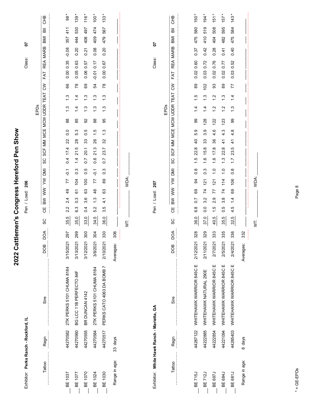| Exhibitor: Perks Ranch - Rockford, IL      |          |                                   |                  |                        | 206<br>Pen / Load:                                    |                  |                                         |                        |                 |                                 |                           |           | Class:     | 5           |            |            |
|--------------------------------------------|----------|-----------------------------------|------------------|------------------------|-------------------------------------------------------|------------------|-----------------------------------------|------------------------|-----------------|---------------------------------|---------------------------|-----------|------------|-------------|------------|------------|
|                                            |          |                                   |                  |                        |                                                       |                  |                                         |                        | EPDs            |                                 |                           |           |            |             |            |            |
| Tattoo                                     | Regn     | Sire                              | DOA<br>BOG       | Ψ<br>SC                | $\tilde{\varepsilon}$<br>$\geqslant$<br>BM            | <b>NID</b>       | MM<br>SCF<br>SC                         | MCE MCW UDDR           |                 | TEAT                            | $\mathsf{S}$              | FAT       | REA        | <b>MARB</b> | 高<br>IMB   | 운<br>CHB   |
|                                            |          |                                   |                  |                        |                                                       |                  |                                         |                        |                 |                                 |                           |           |            |             |            |            |
| BE 1037                                    | 44270582 | 2TK PERKS 5101 CHUMA 8184         | 297<br>3/15/2021 | 2.2<br>35.5            | 77<br>$\frac{9}{4}$<br>2.4                            | $\overline{Q}$ . | 22<br>17.4<br>0.4                       | 88<br>$\overline{0}$ . |                 | $\frac{3}{2}$<br>$\ddot{3}$     | 89                        | 0.00 0.35 |            | $-0.08$     | 411<br>357 | 88         |
| BE 1077                                    | 44270560 | BG LCC 11B PERFECTO 84F           | 299<br>3/13/2021 | 6.3<br>35.0            | 104<br>61<br>$0.\overline{3}$                         | $0.\overline{3}$ | 28<br>21.5<br>$1\overline{4}$           | 85<br>5.3              |                 | $\frac{4}{1}$<br>$\dot{4}$      | $\frac{8}{3}$             | 0.05      | 0.63       | 0.20        | 530<br>444 | 139        |
| BE 1070                                    | 44270555 | BR DUNCAN 4142                    | 300<br>3/12/2021 | $\overline{0}$<br>33.0 | 100<br>63<br>3.6                                      | $\frac{5}{2}$    | 33<br>20.1<br>$\overline{0}$            | 92<br>0.5              |                 | $\frac{3}{2}$<br>$\frac{3}{1}$  | 69                        | 0.06      | 0.57       | 0.21        | 497<br>408 | 116        |
| BE 1024                                    | 44270584 | 2TK PERKS 5101 CHUMA 8184         | 304<br>3/8/2021  | 5.2<br>34.5            | 77<br>46<br>$\frac{3}{1}$                             | $-0.1$           | 26<br>21.3<br>0.6                       | 88<br>$\frac{5}{1}$    |                 | $\frac{3}{2}$<br>$\frac{3}{1}$  | 54                        | $-0.01$   | 0.17       | 0.08        | 474<br>409 | 100        |
| <b>BE 1030</b>                             | 44270517 | PERKS CATO 4063 DA BOMB 7         | 330<br>2/10/2021 | Ю<br>က<br>36.0         | 89<br>63<br>$\frac{1}{4}$                             | $0.\overline{3}$ | 32<br>23.7<br>$\overline{0}$ .          | 95<br>$\ddot{.}3$      |                 | $\frac{3}{1}$<br>$\frac{3}{1}$  | $\overline{78}$           | 0.00      | 0.67       | 0.20        | 567<br>479 | 133        |
| Range in age:                              | 33 days  |                                   | 306<br>Averages: |                        |                                                       |                  |                                         |                        |                 |                                 |                           |           |            |             |            |            |
|                                            |          |                                   |                  | ţ                      | WDA:                                                  |                  |                                         |                        |                 |                                 |                           |           |            |             |            |            |
|                                            |          |                                   |                  |                        |                                                       |                  |                                         |                        |                 |                                 |                           |           |            |             |            |            |
| Exhibitor: White Hawk Ranch - Marietta, GA |          |                                   |                  |                        | 207<br>Pen / Load:                                    |                  |                                         |                        |                 |                                 |                           |           | Class:     | 5           |            |            |
|                                            |          |                                   |                  |                        |                                                       |                  |                                         |                        | EPDs            |                                 |                           |           |            |             |            |            |
| Tattoo                                     | Regn     | Sire                              | DOA<br>DOB       | Ψ<br>ပ္တ               | ξ<br>$\geqslant$<br>$\geqslant$                       | <b>NI</b>        | MM<br><b>SCF</b><br>SC                  | MCE                    | <b>MCW UDDR</b> | TEAT                            | $\mathsf{S}^{\mathsf{S}}$ | FAT       | <b>REA</b> | <b>MARB</b> | 高<br>IMB   | <b>CHB</b> |
|                                            |          |                                   |                  |                        |                                                       |                  |                                         |                        |                 |                                 |                           |           |            |             |            |            |
| BE 715J                                    |          | 44287122 WHITEHAWK WARRIOR 845C E | 328<br>2/12/2021 | $\frac{8}{6}$<br>36.0  | 3<br>89<br>$\overline{0}$                             | $\frac{8}{2}$    | $\overline{4}$<br>22.8<br>$\frac{5}{1}$ | 99<br>5.9              |                 | $\frac{5}{1}$<br>$\overline{4}$ | 89                        | 0.02      | 0.60       | 0.37        | 580<br>475 | 150        |
| <b>BE712J</b>                              | 44222885 | WHITEHAWK NATURAL 290E            | 329<br>2/11/2021 | 0.0<br>37.0            | $\overline{21}$<br>74<br>3.2                          | $0.\overline{3}$ | 33<br>15.8<br>$\frac{6}{1}$             | 128<br>3.9             |                 | $\ddot{.}$<br>$\dot{z}$         | 102                       | 0.03      | 0.72       | 0.42        | 519<br>410 | 194        |
| <b>BE 697J</b>                             | 44222854 | WHITEHAWK WARRIOR 845C E          | 333<br>2/7/2021  | $\frac{5}{1}$<br>40.5  | $\overline{21}$<br>77<br>ၜ<br>$\overline{\mathsf{N}}$ | $\ddot{ }$       | 36<br>17.8<br>$\frac{6}{1}$             | 122<br>4.6             |                 | $\frac{2}{1}$<br>$\frac{2}{1}$  | 93                        | 0.02      | 0.76       | 0.28        | 508<br>404 | 151        |
| BE 684J                                    | 44221094 | WHITEHAWK WARRIOR 845C E          | 335<br>2/5/2021  | 0.5<br>35.5            | 114<br>$\overline{z}$<br>$3.\overline{8}$             | $\frac{0}{1}$    | $\frac{4}{3}$<br>22.8<br>$\ddot{.}$     | 123<br>4.3             |                 | $\frac{3}{2}$<br>$\frac{2}{1}$  | 89                        | 0.02      | 0.77       | 0.41        | 595<br>482 | 157        |
| <b>BE 681J</b>                             | 44285403 | WHITEHAWK WARRIOR 845C E          | 336<br>2/4/2021  | 4.5<br>32.5            | 106<br>69<br>$\frac{1}{4}$                            | $0.\overline{8}$ | $\frac{1}{4}$<br>23.5<br>$\ddot{ }$ :   | 99<br>4.8              |                 | $\frac{4}{1}$<br>$\frac{3}{2}$  | 77                        | 0.03      | 0.52       | 0.40        | 584<br>475 | 143        |
| Range in age:                              | 8 days   |                                   | 332<br>Averages: |                        |                                                       |                  |                                         |                        |                 |                                 |                           |           |            |             |            |            |
|                                            |          |                                   |                  | İ                      | WDA:                                                  |                  |                                         |                        |                 |                                 |                           |           |            |             |            |            |
|                                            |          |                                   |                  |                        |                                                       |                  |                                         |                        |                 |                                 |                           |           |            |             |            |            |
|                                            |          |                                   |                  |                        |                                                       |                  |                                         |                        |                 |                                 |                           |           |            |             |            |            |

2022 Cattlemen's Congress Hereford Pen Show

 $* = GE-EPDS$ \* = GE-EPDs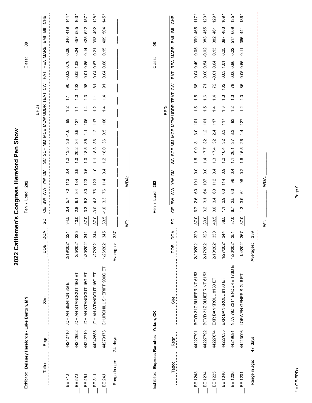|                                                |          |                            | 2022 Cattlemen's  | Congress Hereford Pen Show                                                                                                                                                                                                      |            |
|------------------------------------------------|----------|----------------------------|-------------------|---------------------------------------------------------------------------------------------------------------------------------------------------------------------------------------------------------------------------------|------------|
| Exhibitor: Delaney Herefords - Lake Benton, MN |          |                            |                   | $\boldsymbol{8}$<br>Class:<br>202<br>Pen / Load:                                                                                                                                                                                |            |
|                                                |          |                            |                   | EPDs                                                                                                                                                                                                                            |            |
| Tattoo                                         | Regn     | Sire                       | DОД<br><b>BOD</b> | 高<br>IMB<br><b>MARB</b><br><b>REA</b><br>FAT<br>$\mathcal{S}$<br>TEAT<br><b>MCW UDDR</b><br>MCE<br>ΜM<br><b>SCF</b><br>SC<br><b>NO</b><br>ξ<br>$\geqslant$<br><b>BM</b><br>出<br>C<br>SC                                         | 운<br>5     |
|                                                |          |                            |                   |                                                                                                                                                                                                                                 |            |
| BE <sub>71</sub>                               | 44242716 | JDH AH BENTON 8G ET        | 321<br>2/19/2021  | 419<br>340<br>0.06<br>0.76<br>$-0.02$<br>8<br>$\tilde{\cdot}$<br>$\frac{2}{1}$<br>99<br>$-1.6$<br>33<br>13.5<br>$\frac{2}{1}$<br>0.4<br>113<br>20<br>5.7<br>0.4<br>34.5                                                         | 144        |
| <b>BE 57J</b>                                  | 44242602 | JDH AH STANDOUT 16G ET     | 335<br>2/5/2021   | 565<br>457<br>0.24<br>1.08<br>0.05<br>102<br>$\frac{0}{1}$<br>$\tilde{\cdot}$<br>127<br>$0.\overline{0}$<br>34<br>20.2<br>$\frac{0}{1}$<br>0.9<br>134<br>84<br>$\overline{6}$ .<br>$-2.8$<br>40.0                               | 163        |
| <b>BE 45J</b>                                  | 44242710 | JDH AH STANDOUT 16G ET     | 341<br>1/30/2021  | 522<br>425<br>0.14<br>0.85<br>$-0.01$<br>86<br>$\frac{3}{2}$<br>$\dot{a}$<br>105<br>$\frac{1}{1}$<br>35<br>18.5<br>$\frac{0}{1}$<br>0.6<br>123<br>80<br>53<br>$-3.3$<br>37.0                                                    | 157        |
| <b>BE31J</b>                                   | 44242585 | JDH AH STANDOUT 16G ET     | 344<br>1/27/2021  | 492<br>393<br>0.21<br>0.67<br>0.04<br>$\frac{1}{8}$<br>$\tilde{\cdot}$<br>$\frac{2}{1}$<br>117<br>$\frac{2}{1}$<br>36<br>18.3<br>$\frac{1}{1}$<br>$\frac{0}{1}$<br>123<br>76<br>4.3<br>$-3.0$<br>37.0                           | 128        |
| <b>BE 24J</b>                                  | 44279173 | CHURCHILL SHERIFF 900G ET  | 345<br>1/26/2021  | 504<br>409<br>0.15<br>0.68<br>0.04<br>$\overline{5}$<br>$\dot{4}$<br>4.<br>$\overline{\phantom{0}}$<br>106<br>Ю<br>ö<br>36<br>18.0<br>$\frac{2}{1}$<br>$\frac{4}{1}$<br>114<br>76<br>$3.\overline{3}$<br>ں<br>7<br>ю<br>33.     | 145        |
| Range in age:                                  | 24 days  |                            | 337<br>Averages:  |                                                                                                                                                                                                                                 |            |
|                                                |          |                            |                   |                                                                                                                                                                                                                                 |            |
|                                                |          |                            |                   | WDA:<br>ξ                                                                                                                                                                                                                       |            |
| Exhibitor: Express Ranches - Yukon, OK         |          |                            |                   | ဒိ<br>Class:<br>203<br>Pen / Load:                                                                                                                                                                                              |            |
|                                                |          |                            |                   | EPDs                                                                                                                                                                                                                            |            |
| Tattoo                                         | Regn     | Sire                       | DОД<br><b>BOD</b> | 눎<br><b>IMB</b><br><b>MARB</b><br><b>REA</b><br>FAT<br>$\mathcal{S}$<br>TEAT<br><b>MCW UDDR</b><br>MCE<br>MM<br>SCF<br>ပ္တ<br>ΜQ<br>ξ<br>$\geqslant$<br>$\mathsf{B}\mathsf{W}$<br>ЯЭ<br>ပ္ပ                                     | <b>CHB</b> |
|                                                |          |                            |                   |                                                                                                                                                                                                                                 |            |
| BE 1243                                        | 44227791 | BOYD 31Z BLUEPRINT 6153    | 320<br>2/20/2021  | 465<br>399<br>$-0.05$<br>$-0.04$ 0.49<br>89<br>$\frac{1}{1}$<br>$\frac{5}{1}$<br>$\overline{101}$<br>3.0<br>94<br>19.0<br>$\frac{5}{1}$<br>$\overline{0}$<br>$\frac{1}{2}$<br>8<br>2.6<br>6.7<br>37.0                           | 117        |
| BE 1234                                        | 44227792 | BOYD 31Z BLUEPRINT 6153    | 323<br>2/17/2021  | 455<br>383<br>$-0.02$<br>0.54<br>0.00<br>71<br>$\frac{6}{1}$<br>$\frac{5}{1}$<br>$\frac{5}{2}$<br>$\frac{1}{2}$<br>32<br>17.7<br>$\overline{4}$<br>$\overline{0}$ .<br>$\frac{10}{2}$<br>34<br>$\overline{3}$ .<br>3.2<br>39.0  | 120        |
| BE 1225                                        | 44227674 | EXR BANKROLL 8130 ET       | 330<br>2/10/2021  | 461<br>382<br>0.13<br>0.64<br>$-0.01$<br>$\mathcal{L}$<br>$\frac{4}{1}$<br>$\dot{z}$<br>117<br>2.4<br>32<br>17.4<br>$\frac{3}{1}$<br>$\overline{0.4}$<br>112<br>63<br>3.4<br>0.6<br>40.5                                        | 129        |
| BE 1040                                        | 44227635 | EXR BANKROLL 8130 ET       | 344<br>1/27/2021  | 483<br>397<br>0.25<br>1.01<br>0.03<br>102<br>$\frac{3}{2}$<br>$\frac{3}{2}$<br>117<br>$3.\overline{3}$<br>32<br>16.4<br>$\frac{2}{1}$<br>တ<br>ö<br>114<br>යි<br>တ<br>$\overline{\mathsf{N}}$<br>$\mathbb{Z}$<br>38.5            | 169        |
| BE 1206                                        | 44219691 | NJW 79Z Z311 ENDURE 173D E | 351<br>1/20/2021  | 609<br>517<br>0.22<br>0.86<br>0.06<br>78<br>$\frac{3}{2}$<br>$\frac{2}{1}$<br>93<br>3.3<br>75<br>26.1<br>$\tilde{\cdot}$<br>0.4<br>96<br>යි<br>Ю<br>$\mathbf{a}$<br>6.7<br>37.0                                                 | 135        |
| <b>BE 1201</b>                                 | 44213006 | LOEWEN GENESIS G16 ET      | 367<br>1/4/2021   | 441<br>365<br>$\overline{0.11}$<br>0.65<br>0.05<br>85<br>$\frac{0}{1}$<br>Ņ<br>$\overline{\phantom{0}}$<br>127<br>$\overline{4}$<br>26<br>Ю<br>$\frac{1}{2}$<br>$\frac{6}{1}$<br>Ņ<br>ö<br>88<br>67<br>တ<br>က<br>$-1.3$<br>37.0 | 136        |
| Range in age:                                  | 47 days  |                            | 339<br>Averages:  |                                                                                                                                                                                                                                 |            |
|                                                |          |                            |                   | WDA:<br>Ż                                                                                                                                                                                                                       |            |
|                                                |          |                            |                   |                                                                                                                                                                                                                                 |            |
|                                                |          |                            |                   |                                                                                                                                                                                                                                 |            |

Page 9

 $* = GE-EPDS$ \* = GE-EPDs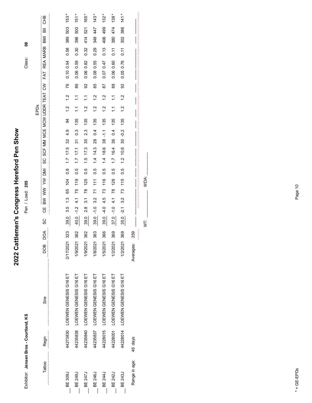| Class:       |
|--------------|
|              |
|              |
|              |
|              |
| S<br>i       |
| Pen / Load:  |
|              |
|              |
|              |
|              |
|              |
|              |
|              |
|              |
| $\mathbf{r}$ |
|              |
|              |
| I<br>I       |
|              |

2022 Cattlemen's Congress Hereford Pen Show **2022 Cattlemen's Congress Hereford Pen Show**

Pen / Load: 205

8 Class:

|         |          |                                |                 |                    | EPDs                                                                                                                                              |                                                                 |                |
|---------|----------|--------------------------------|-----------------|--------------------|---------------------------------------------------------------------------------------------------------------------------------------------------|-----------------------------------------------------------------|----------------|
| Tattoo  | Regn     | Sire                           | DOA<br>DOB      | ပ္တ                | SCF MM MCE MCW UDDR TEAT CW<br>ပ္တ<br>$\overline{\mathbb{R}}$<br>$\geqslant$<br>$\geqslant$<br><b>MB</b><br>မ္မ                                   | $\overline{\overline{a}}$<br><b>IMB</b><br>REA MARB<br>FAT<br>E | 운.             |
|         |          |                                |                 |                    |                                                                                                                                                   |                                                                 |                |
| BE 309J |          | 44273830 LOEWEN GENESIS G16 ET | 2/17/2021 323   | $\frac{80}{2}$     | 76<br>1.2<br>$\frac{2}{1}$<br>34<br>4.9<br>$\overline{32}$<br>1.7 17.5<br>8<br>0<br>104<br>$-65$<br>$\frac{3}{2}$<br>3.5                          | 503<br>389<br>0.58<br>0.10 0.54                                 | $153 *$        |
| BE 249. | 44235838 | LOEWEN GENESIS G16 ET          | 362<br>1/9/2021 | $\frac{40.0}{\pi}$ | 86<br>$\tilde{\cdot}$<br>$\tilde{\cdot}$<br>135<br>$\frac{3}{2}$<br>$\overline{3}$<br>$1.7$ $17.1$<br>0.5<br>119<br>75<br>$\frac{1}{4}$<br>$-1.2$ | 500<br>396<br>0.30<br>0.59<br>0.06                              | 151*           |
| BE 247J | 44235840 | LOEWEN GENESIS G16 ET          | 362<br>1/9/2021 | $\frac{8}{39}$     | 8<br>$\tilde{\cdot}$<br>$\frac{2}{1}$<br>135<br>2.3<br>35<br>17.3<br>1.5<br>5.O<br>125<br>78<br>$\overline{3}$ .<br>$\frac{8}{2}$                 | 521<br>414<br>0.32<br>0.82<br>0.06                              | 165*           |
| BE 246. | 44235837 | LOEWEN GENESIS G16 ET          | 1/8/2021 363    | $\frac{8}{39}$     | 85<br>$\frac{2}{1}$<br>$\frac{1}{2}$<br>135<br>0.4<br>1.4 14.3 28<br>0.5<br>111<br>$\overline{7}$<br>3.2<br>$\frac{0}{1}$                         | 447<br>348<br>0.29<br>0.55<br>0.08                              | $\frac{43}{5}$ |
| BE 244J |          | 44228015 LOEWEN GENESIS G16 ET | 1/5/2021 366    | $\frac{8}{39}$     | 87<br>$\frac{1}{2}$<br>$\frac{1}{2}$<br>135<br>$1.4$ 18.6 38 -1.1<br>$\frac{5}{0}$<br>116<br>$\overline{73}$<br>4.5<br>$-4.0$                     | 499<br>406<br>0.13<br>0.47<br>0.07                              | $132 *$        |
| BE 242J |          | 44228001 LOEWEN GENESIS G16 ET | 1/2/2021 369    | $\frac{37.0}{ }$   | 88<br>$\tilde{\cdot}$<br>$\tilde{\cdot}$<br>135<br>0.4<br>36<br>1.7 16.4<br>0.5<br>128<br>$\overline{78}$<br>$\frac{1}{4}$<br>$-1.0$              | 474<br>380<br>0.11<br>0.60<br>0.06                              | $138*$         |
| BE 243J |          | 44228014 LOEWEN GENESIS G16 ET | 1/2/2021 369    | $\frac{35.0}{5}$   | S<br>$\frac{2}{1}$<br>$\frac{1}{2}$<br>135<br>$30 - 0.2$<br>1.2 10.8<br>0.5<br>115<br>73<br>3.2<br>$-2.1$                                         | 386<br>302<br>$\frac{1}{2}$<br>0.76<br>0.05                     | $141 *$        |

 $W$ T:  $WDA$ :  $WDA$ : WDA:  $\overline{\mathsf{S}}$ 

\_\_\_\_ \_\_\_\_\_\_\_\_\_\_\_\_ \_\_\_ \_\_\_\_ \_\_\_\_ \_\_\_\_\_\_\_\_ \_\_\_ \_\_\_\_\_\_\_ \_\_\_\_ \_\_\_\_ \_\_\_\_\_\_\_\_ \_\_\_ \_\_\_ \_\_\_ \_\_\_

359

 $\begin{aligned} \frac{1}{2} \left( \frac{1}{2} \right) & = \frac{1}{2} \left( \frac{1}{2} \right) \left( \frac{1}{2} \right) \left( \frac{1}{2} \right) \left( \frac{1}{2} \right) \left( \frac{1}{2} \right) \left( \frac{1}{2} \right) \left( \frac{1}{2} \right) \left( \frac{1}{2} \right) \left( \frac{1}{2} \right) \left( \frac{1}{2} \right) \left( \frac{1}{2} \right) \left( \frac{1}{2} \right) \left( \frac{1}{2} \right) \left( \frac{1}{2} \right) \left( \$ 

Averages: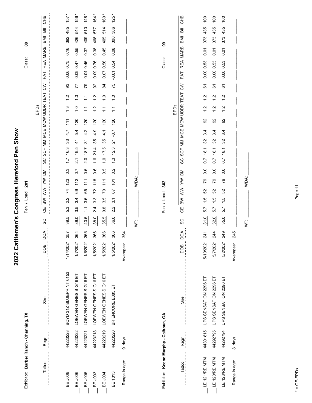| Exhibitor: Barber Ranch - Channing, TX |          |                         |                  | 8<br>Class:<br>201<br>Pen / Load:                                                                                                                                                                      |                  |
|----------------------------------------|----------|-------------------------|------------------|--------------------------------------------------------------------------------------------------------------------------------------------------------------------------------------------------------|------------------|
|                                        |          |                         |                  | EPDs                                                                                                                                                                                                   |                  |
| Tattoo                                 | Regn     | Sire                    | DOA<br>BOO       | 高<br>IMB<br><b>MARB</b><br><b>REA</b><br>FAT<br>$\mathsf{S}$<br>TEAT<br>MCE MCW UDDR<br>SCF MM<br>SC<br>ΜQ<br>ξ<br>$\geqslant$<br>$\geqslant$<br>Ψ<br>SC                                               | 운<br>CHB         |
|                                        |          |                         |                  |                                                                                                                                                                                                        |                  |
| <b>BE J008</b>                         | 44223228 | BOYD 31Z BLUEPRINT 6153 | 357<br>1/14/2021 | 485<br>392<br>0.16<br>0.75<br>0.06<br>33<br>$\ddot{ }$<br>$\frac{3}{2}$<br>111<br>4.7<br>33<br>16.3<br>$\overline{1}$<br>$0.\overline{3}$<br>123<br>74<br>2.2<br>53<br>39.5                            | 157              |
| BE J006                                | 44223222 | LOEWEN GENESIS G16 ET   | 364<br>1/7/2021  | 544<br>426<br>0.55<br>0.47<br>0.09<br>77<br>$\frac{0}{\tau}$<br>$\frac{1}{\sqrt{2}}$<br>120<br>5.4<br>$\ddot{4}$<br>19.5<br>$\overline{2.1}$<br>$\overline{0}$ .<br>112<br>89<br>3.4<br>Ю<br>6<br>39.0 | 156              |
| BE J005                                | 44223221 | LOEWEN GENESIS G16 ET   | 365<br>1/6/2021  | 510<br>409<br>0.37<br>0.46<br>0.04<br>79<br>$\tilde{\cdot}$<br>$\tilde{\cdot}$<br>120<br>4.2<br>$\overline{5}$<br>187<br>2.0<br>0.6<br>$\frac{1}{11}$<br>65<br>36<br>$\tilde{\cdot}$<br>40.5           | 148              |
| BE J003                                | 44223218 | LOEWEN GENESIS G16 ET   | 366<br>1/5/2021  | 577<br>468<br>0.38<br>0.76<br>0.09<br>92<br>$\frac{2}{1}$<br>$\frac{2}{1}$<br>120<br>4.9<br>35<br>21.4<br>$\frac{6}{1}$<br>0.6<br>118<br>72<br>$3.\overline{3}$<br>2.4<br>38.0                         | 164              |
| BE J004                                | 44223219 | LOEWEN GENESIS G16 ET   | 366<br>1/5/2021  | 514<br>405<br>0.45<br>0.56<br>0.07<br>84<br>$\frac{0}{1}$<br>$\tilde{\mathcal{L}}$<br>120<br>$\frac{1}{4}$<br>35<br>17.5<br>$\frac{0}{\tau}$<br>0.5<br>111<br>20<br>3.5<br>$\frac{8}{2}$<br>35.5       | 160              |
| <b>BE 1013</b>                         | 44223220 | BR ENCORE E085 ET       | 366<br>1/5/2021  | 386<br>308<br>0.08<br>0.54<br>$-0.01$<br>75<br>$\frac{0}{1}$<br>$\tilde{\cdot}$<br>120<br>$-0.7$<br>21<br>12.3<br>$\frac{3}{1}$<br>0.2<br>$\frac{1}{2}$<br>67<br>$\overline{3}$ .<br>2.2<br>36.0       | 125              |
| Range in age:                          | 9 days   |                         | 364<br>Averages: |                                                                                                                                                                                                        |                  |
|                                        |          |                         |                  | WDA:<br>ţ                                                                                                                                                                                              |                  |
| Exhibitor: Keene Murphy - Calhoun, GA  |          |                         |                  | ဇွ<br>Class:<br>302<br>Pen / Load:                                                                                                                                                                     |                  |
|                                        |          |                         |                  | EPDs                                                                                                                                                                                                   |                  |
| Tattoo                                 | Regn     | Sire                    | DOA<br>DOB       | 高<br><b>IMB</b><br><b>MARB</b><br><b>REA</b><br>FAT<br>$\mathsf{S}$<br>TEAT<br>SCF MM MCE MCW UDDR<br>SC<br><b>IMI</b><br>$\geqslant$<br>$\sum_{i=1}^{n}$<br>BW<br>U<br>SC                             | <b>CHB</b>       |
| LE 121/RE MTM                          | 44301815 | UPS SENSATION 2296 ET   | 241<br>5/10/2021 | 435<br>373<br>0.01<br>0.00 0.53<br>67<br>$\ddot{ }$<br>$\frac{2}{1}$<br>92<br>3.4<br>32<br>18.1<br>$\overline{0}$<br>0.0<br>54<br>S<br>$\frac{1}{1}$<br>5.7<br>31.0                                    | $\overline{100}$ |
| LE 120/RE MTM                          | 44292795 | UPS SENSATION 2296 ET   | 244<br>5/7/2021  | 435<br>373<br>0.01<br>0.53<br>0.00<br>67<br>$\ddot{ }$<br>$\frac{2}{1}$<br>92<br>3.4<br>32<br>18.1<br>$\overline{0.7}$<br>0.0<br>54<br>S<br>$\frac{5}{1}$<br>5.7<br>32.0                               | $\overline{100}$ |
| LE 123/RE MTM                          | 44292794 | UPS SENSATION 2296 ET   | 249<br>5/2/2021  | 435<br>373<br>0.01<br>0.53<br>0.00<br>67<br>$\frac{2}{1}$<br>$\frac{2}{1}$<br>92<br>3.4<br>32<br>18.1<br>$\overline{0}$<br>0.0<br>54<br>S<br>$\frac{5}{1}$<br>57<br>35.0                               | $\overline{100}$ |
| Range in age:                          | 8 days   |                         | 245<br>Averages: |                                                                                                                                                                                                        |                  |
|                                        |          |                         |                  | WDA:<br>İ                                                                                                                                                                                              |                  |
|                                        |          |                         |                  |                                                                                                                                                                                                        |                  |

2022 Cattlemen's Congress Hereford Pen Show

Page 11

 $* = GE-EPDS$ \* = GE-EPDs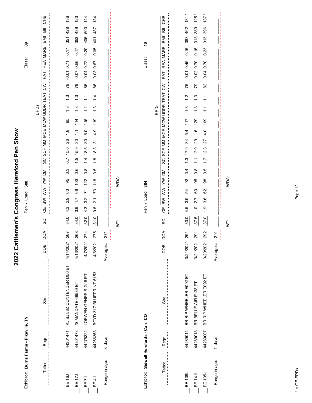| Exhibitor: Burns Farms - Pikeville, TN  |          |                            |                   |      | Class:<br>300<br>Pen / Load:                                                                                                                                               | ဒ္ဓ                                               |
|-----------------------------------------|----------|----------------------------|-------------------|------|----------------------------------------------------------------------------------------------------------------------------------------------------------------------------|---------------------------------------------------|
|                                         |          |                            |                   |      | EPDs                                                                                                                                                                       |                                                   |
| Tattoo                                  | Regn     | Sire                       | DOA<br>BOG        | ပ္ပ  | <b>REA</b><br>FAT<br>$\tilde{\varepsilon}$<br>MCE MCW UDDR TEAT<br>SCF MM<br>SC<br>ΣÑ<br>ξ<br>Š<br>MB<br>Ψ                                                                 | <b>CHB</b><br>ā<br>IMB<br><b>MARB</b>             |
|                                         |          |                            |                   |      |                                                                                                                                                                            |                                                   |
| <b>BE 16J</b>                           | 44301471 | KJ BJ 58Z CONTENDER D56 ET | 267<br>4/14/2021  | 34.0 | 0.71<br>$-0.01$<br>78<br>$\frac{3}{2}$<br>13<br>95<br>$\frac{8}{1}$<br>26<br>15.0<br>$\overline{0}$ .<br>$0.\overline{3}$<br>95<br>8<br>2.9<br>4.3                         | 136<br>428<br>351<br>0.17                         |
| BE 17J                                  | 44301473 | /S MANDATE 66589 ET        | 268<br>4/13/2021  | 34.0 | 0.56<br>0.07<br>79<br>$\frac{3}{2}$<br>$\frac{3}{1}$<br>114<br>$\tilde{\cdot}$<br>30<br>15.9<br>$\frac{6}{1}$<br>0.6<br>103<br>66<br>$\ddot{ }$ :<br>3.9                   | 123<br>439<br>353<br>0.17                         |
| BE <sub>7J</sub>                        | 44275324 | LOEWEN GENESIS G16 ET      | 274<br>4/7/2021   | 32.0 | 0.72<br>0.04<br>86<br>$\frac{1}{1}$<br>$\frac{2}{3}$<br>115<br>5.0<br>$\mathcal{S}$<br>18.5<br>$\frac{1}{4}$<br>$\overline{0}$ .8<br>122<br>$\overline{z}$<br>3.2<br>4.3   | 144<br>500<br>406<br>0.20                         |
| <b>BE4J</b>                             | 44266368 | BOYD 31Z BLUEPRINT 6153    | 275<br>4/6/2021   | 31.0 | 0.67<br>0.03<br>86<br>$\overline{4}$<br>$\frac{3}{1}$<br>119<br>4.9<br>$\tilde{\bm{5}}$<br>18.3<br>$\frac{8}{1}$<br>0.5<br>$\frac{8}{10}$<br>73<br>$\overline{2.1}$<br>9.8 | 134<br>487<br>401<br>0.05                         |
| Range in age:                           | 8 days   |                            | 271<br>Averages:  |      |                                                                                                                                                                            |                                                   |
|                                         |          |                            |                   | Ż    | WDA:                                                                                                                                                                       |                                                   |
|                                         |          |                            |                   |      |                                                                                                                                                                            |                                                   |
| Exhibitor: Sidwell Herefords - Carr, CO |          |                            |                   |      | Class:<br>Pen / Load: 304                                                                                                                                                  | $\tilde{e}$                                       |
|                                         |          |                            |                   |      | EPDs                                                                                                                                                                       |                                                   |
| Tattoo                                  | Regn     | Sire                       | DOA<br><b>BOD</b> | SC   | FAT<br>$\tilde{\varepsilon}$<br>SCF MM MCE MCW UDDR TEAT<br>SC<br><b>ING MA AMA AM DRI</b><br>Ψ                                                                            | <b>CHB</b><br>$\bar{a}$<br><b>INB</b><br>REA MARB |
|                                         |          |                            |                   |      |                                                                                                                                                                            |                                                   |
| <b>BE 138L</b>                          | 44289014 | BR RIP WHEELER E092 ET     | 291<br>3/21/2021  | 33.0 | $-0.01$ 0.45<br>76<br>$\frac{2}{1}$<br>$\ddot{.}$<br>117<br>5.4<br>34<br>17.9<br>$\frac{3}{2}$<br>0.4<br>$\overline{9}$<br>54<br>3.9<br>4.5                                | $131 *$<br>462<br>388<br>0.16                     |
| <b>BE 141L</b>                          | 44289018 | BR BELLE AIR E133 ET       | 291<br>3/21/2021  | 37.5 | 0.70<br>$-0.02$<br>79<br>$\frac{3}{2}$<br>$\ddot{.}$<br>129<br>$\ddot{1}$ .6<br>29<br>12.9<br>$\frac{1}{2}$<br>$0.\overline{8}$<br>95<br>80<br>2.7<br>$\frac{0}{1}$        | $\ast$<br>125<br>389<br>313<br>0.16               |
| BE 135J                                 | 44289007 | BR RIP WHEELER E092 ET     | 292<br>3/20/2021  | 37.0 | 0.70<br>0.04<br>82<br>$\tilde{c}$<br>$\tilde{\cdot}$<br>109<br>4.0<br>27<br>12.3<br>$\ddot{ }$ :<br>гó<br>ö<br>98<br>62<br>3.6<br>$\frac{6}{1}$                            | $137 *$<br>396<br>313<br>0.23                     |
| Range in age:                           | 1 days   |                            | 291<br>Averages:  |      |                                                                                                                                                                            |                                                   |
|                                         |          |                            |                   | Ş    | WDA:                                                                                                                                                                       |                                                   |
|                                         |          |                            |                   |      |                                                                                                                                                                            |                                                   |

2022 Cattlemen's Congress Hereford Pen Show

# $* = GE-EPDS$ \* = GE-EPDs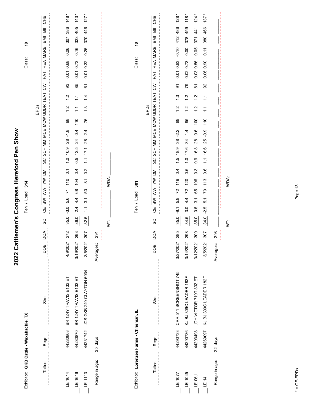| Exhibitor: GKB Cattle - Waxahachie, TX   |          |                          |                   | ٥Ļ<br>Class:<br>314<br>Pen / Load:                                                                                                                                                                                                  |
|------------------------------------------|----------|--------------------------|-------------------|-------------------------------------------------------------------------------------------------------------------------------------------------------------------------------------------------------------------------------------|
| Tattoo                                   | Regn     | Sire                     | DOA<br>DOB        | 운<br>5<br>$\overline{a}$<br>IMB<br>REA MARB<br>FAT<br>$\mathsf{S}$<br>SCF MM MCE MCW UDDR TEAT<br>EPDs<br>SC<br><b>IMU</b><br>$\geqslant$<br>$\geqslant$<br>$\geqslant$<br>ЧÖ<br>SC                                                 |
| LE 1614                                  | 44280868 | BR 124Y TRAVIS E132 ET   | 272<br>4/9/2021   | $148 *$<br>386<br>307<br>0.06<br>0.68<br>0.01<br>93<br>$\frac{2}{1}$<br>$\ddot{.}$<br>98<br>$-1.8$<br>28<br>$1.0$ 10.9<br>$\overline{0}$<br>110<br>$\overline{7}$<br>5.6<br>$-3.0$<br>35.0                                          |
| LE 1616                                  | 44280870 | BR 124Y TRAVIS E132 ET   | 293<br>3/19/2021  | 143<br>405<br>323<br>0.16<br>0.73<br>$-0.01$<br>85<br>$\frac{1}{\sqrt{2}}$<br>$\tilde{\cdot}$<br>110<br>0.4<br>$\overline{24}$<br>12.5<br>0.5<br>0.4<br>104<br>89<br>4.4<br>2.4<br>36.0                                             |
| $-E1113$                                 | 44231742 | JCS GKB 240 CLAYTON 6034 | 307<br>3/5/2021   | $127 *$<br>446<br>370<br>0.25<br>0.01 0.32<br>67<br>$\frac{4}{4}$<br>$\frac{3}{2}$<br>76<br>2.4<br>28<br>17.1<br>$\tilde{\cdot}$<br>$-0.2$<br>$\overleftarrow{\infty}$<br>50<br>$\overline{3.1}$<br>$\tilde{\cdot}$<br>32.5         |
| Range in age:                            | 35 days  |                          | 291<br>Averages:  |                                                                                                                                                                                                                                     |
|                                          |          |                          |                   | WDA:<br>Ş                                                                                                                                                                                                                           |
|                                          |          |                          |                   |                                                                                                                                                                                                                                     |
| Exhibitor: Lorenzen Farms - Chrisman, IL |          |                          |                   | $\tilde{e}$<br>Class:<br>Pen / Load: 301                                                                                                                                                                                            |
|                                          |          |                          |                   | EPDs                                                                                                                                                                                                                                |
| Tattoo                                   | Regn     | Sire                     | DOA<br><b>BOD</b> | <b>CHB</b><br>高<br>IMB<br>REA MARB<br>FAT<br>$\mathsf{S}^{\mathsf{S}}$<br>SCF MM MCE MCW UDDR TEAT<br>SC<br><b>NI</b><br>$\tilde{\ge}$<br>$\geqslant$<br>$\geqslant$<br>巴<br>O<br>SC                                                |
|                                          |          |                          |                   |                                                                                                                                                                                                                                     |
| LE 1077                                  | 44290733 | CRR 511 SCREENSHOT 745   | 285<br>3/27/2021  | 128<br>486<br>412<br>$-0.10$<br>0.83<br>0.01<br>$\overline{5}$<br>$\frac{3}{2}$<br>$\frac{2}{1}$<br>89<br>$-2.2$<br>38<br>18.9<br>$\frac{5}{1}$<br>0.4<br>119<br>72<br>5.9<br>-9.1<br>35.0                                          |
| $-E 1045$                                | 44290736 | KJ BJ 309C LEADER 182F   | 298<br>3/14/2021  | 118 <sup>5</sup><br>459<br>378<br>0.00<br>0.73<br>0.02<br>79<br>$\frac{2}{1}$<br>$\frac{2}{1}$<br>95<br>1.4<br>34<br>17.6<br>$\frac{0}{1}$<br>0.6<br>120<br>72<br>4.4<br>3.0<br>34.5                                                |
| $LE$ 06J                                 | 44293498 | JDH VICTOR 719T 33Z ET   | 300<br>3/12/2021  | $124 *$<br>441<br>371<br>$-0.05$<br>0.56<br>$-0.03$<br>$\overleftarrow{\infty}$<br>$\frac{2}{1}$<br>$\frac{2}{1}$<br>100<br>0.6<br>28<br>16.8<br>0.9<br>$0.\overline{3}$<br>106<br>65<br>$\overline{\mathcal{E}}$<br>$-0.6$<br>35.0 |
| LE 14                                    | 44269097 | KJ BJ 309C LEADER 182F   | 307<br>3/5/2021   | $137 *$<br>466<br>380<br>$\overline{0.11}$<br>0.90<br>0.06<br>92<br>$\frac{1}{1}$<br>$\tilde{=}$<br>110<br>$-0.9$<br>25<br>16.6<br>$\tilde{\cdot}$<br>0.6<br>113<br>$\overline{C}$<br>51<br>$-2.5$<br>34.0                          |
| Range in age:                            | 22 days  |                          | 298<br>Averages:  |                                                                                                                                                                                                                                     |
|                                          |          |                          |                   | WDA:<br>İ                                                                                                                                                                                                                           |

2022 Cattlemen's Congress Hereford Pen Show **2022 Cattlemen's Congress Hereford Pen Show**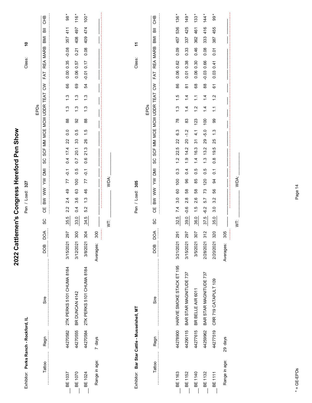| Exhibitor: Perks Ranch - Rockford, IL        |          |                                    |                  |                       | 327<br>Pen / Load:                         |                                   |                                           |            |                |                |                                  | Class:                    | $\tilde{a}$ |           |                  |
|----------------------------------------------|----------|------------------------------------|------------------|-----------------------|--------------------------------------------|-----------------------------------|-------------------------------------------|------------|----------------|----------------|----------------------------------|---------------------------|-------------|-----------|------------------|
| Tattoo                                       | Regn     | Sire                               | DOA<br>DOB       | Ψ<br>SC               | <b>NI</b><br>ξ<br>$\geqslant$<br><b>NB</b> | SC                                | SCF MM MCE MCW UDDR TEAT                  |            | EPDs           |                | FAT<br>$\mathsf{S}^{\mathsf{S}}$ | <b>MARB</b><br><b>REA</b> | BMI         |           | <b>CHB</b>       |
| BE 1037                                      | 44270582 | 2TK PERKS 5101 CHUMA 8184          | 297<br>3/15/2021 | 2.2<br>35.5           | $\overline{Q}$<br>77<br>49<br>2.4          | $\overline{0}$                    | 0.0<br>22<br>17.4                         | 88         | $\ddot{.}$     | $\frac{3}{1}$  | 0.00 0.35<br>89                  | $-0.08$                   | 357         | 411       | $\frac{1}{98}$   |
| <b>BE 1070</b>                               | 44270555 | BR DUNCAN 4142                     | 300<br>3/12/2021 | 0.4<br>33.0           | 100<br>63<br>3.6                           | $\overline{0}$ .7<br>0.5          | 0.5<br>33<br>20.1                         | 92         | $\frac{3}{2}$  | $\ddot{.}$     | 0.06<br>69                       | 0.21<br>0.57              | 408         | 497       | $116 *$          |
| BE 1024                                      | 44270584 | 2TK PERKS 5101 CHUMA 8184          | 304<br>3/8/2021  | 5.2<br>34.5           | $-0.1$<br>77<br>46<br>$\frac{3}{1}$        | 0.6                               | $\frac{6}{1}$<br>26<br>21.3               | $^{\rm 8}$ | $\frac{3}{2}$  | $\frac{3}{2}$  | $-0.01$ 0.17<br>54               | 0.08                      | 409         | 474       | $100*$           |
| Range in age:                                | 7 days   |                                    | 300<br>Averages: |                       |                                            |                                   |                                           |            |                |                |                                  |                           |             |           |                  |
|                                              |          |                                    |                  | İ                     | WDA:                                       |                                   |                                           |            |                |                |                                  |                           |             |           |                  |
|                                              |          |                                    |                  |                       |                                            |                                   |                                           |            |                |                |                                  |                           |             |           |                  |
| Exhibitor: Bar Star Cattle - Musselshell, MT |          |                                    |                  |                       | Pen / Load: 305                            |                                   |                                           |            |                |                |                                  | Class:                    | $\tilde{t}$ |           |                  |
|                                              |          |                                    |                  |                       |                                            |                                   |                                           |            | EPDs           |                |                                  |                           |             |           |                  |
| Tattoo                                       | Regn     | Sire                               | DOA<br>DOB       | UЧ<br>SC              | DMI<br>$\geqslant$<br>WW<br><b>MB</b>      | SC                                | SCF MM MCE MCW UDDR TEAT                  |            |                |                | FAT<br>$\mathsf{S}$              | <b>MARB</b><br><b>REA</b> | <b>IMB</b>  | $\bar{a}$ | <b>CHB</b>       |
|                                              |          |                                    |                  |                       |                                            |                                   |                                           |            |                |                |                                  |                           |             |           |                  |
| BE 1163                                      |          | 44278900 HARVIE SMOKE STACK ET 195 | 291<br>3/21/2021 | 7.4<br>32.5           | 100<br>60<br>$\overline{3.0}$              | $\frac{1}{2}$<br>$\frac{3}{2}$    | 6.3<br>$\overline{2}$<br>22.5             | 78         | $\frac{3}{1}$  | $\frac{6}{1}$  | 0.06 0.62<br>86                  | 0.09                      | 457         | 536       | 136 <sup>3</sup> |
| <b>BE1152</b>                                | 44290115 | BAR STAR MAGNITUDE 737             | 297<br>3/15/2021 | $-0.6$<br>39.0        | 96<br>58<br>2.8                            | $\frac{0}{1}$<br>0.4              | $-1.2$<br>$\overline{c}$<br>14.2          | 83         | $\overline{4}$ | $\dot{z}$      | $\overline{0}$<br><u>रू</u>      | 0.33<br>0.38              | 337         | 425       | 149.             |
| BE 1140                                      | 44277615 | BR BELLE AIR 6011                  | 307<br>3/5/2021  | $\frac{1}{1}$<br>36.0 | 85<br>58<br>2.6                            | $\frac{4}{4}$<br>0.5              | $\frac{1}{4}$<br>$\tilde{\bm{c}}$<br>16.3 | 123        | $\frac{2}{1}$  | $\tilde{z}$    | 0.06<br>$^{\rm 63}$              | 0.46<br>0.30              | 362         | 461       | $133 *$          |
| <b>BE1132</b>                                | 44259962 | BAR STAR MAGNITUDE 737             | 312<br>2/28/2021 | $-6.2$<br>37.5        | 120<br>73<br>5.7                           | $\frac{3}{1}$<br>0.5              | $-5.0$<br>29<br>13.2                      | 100        | $\overline{4}$ | $\overline{4}$ | $-0.03$<br>$_{88}$               | 0.08<br>0.66              | 333         | 416       | $144 *$          |
| BE 1111                                      | 44277519 | CRR 719 CATAPULT 109               | 320<br>2/20/2021 | 3.0<br>35.0           | 3<br>56<br>3.2                             | $\frac{8}{2}$<br>$\overline{0}$ . | $\frac{3}{2}$<br>25<br>19.5               | 99         | ۲Ļ             | $\frac{2}{1}$  | 0.03<br>67                       | 0.01<br>0.41              | 387         | 455       | $\ast$<br>99     |
| Range in age:                                | 29 days  |                                    | 305<br>Averages: |                       |                                            |                                   |                                           |            |                |                |                                  |                           |             |           |                  |
|                                              |          |                                    |                  | Ż                     | WDA:                                       |                                   |                                           |            |                |                |                                  |                           |             |           |                  |
|                                              |          |                                    |                  |                       |                                            |                                   |                                           |            |                |                |                                  |                           |             |           |                  |

2022 Cattlemen's Congress Hereford Pen Show

 $* = GE-EPDS$ \* = GE-EPDs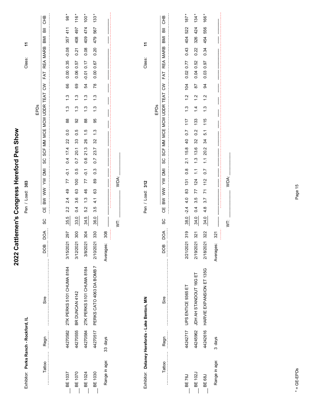| Exhibitor: Perks Ranch - Rockford, IL          |          |                             |                   | Pen / Load:                           | 303                              |                          |                                     |                   |               |               |                 | Class:            |             | Ξ   |           |                            |
|------------------------------------------------|----------|-----------------------------|-------------------|---------------------------------------|----------------------------------|--------------------------|-------------------------------------|-------------------|---------------|---------------|-----------------|-------------------|-------------|-----|-----------|----------------------------|
|                                                |          |                             |                   |                                       |                                  |                          |                                     |                   | EPDs          |               |                 |                   |             |     |           |                            |
| Tattoo                                         | Regn     | Sire                        | DОД<br><b>BOD</b> | $\geqslant$<br>$\geqslant$<br>Ψ<br>SC | <b>NI</b><br>⋛                   | SCF MM<br>SC             |                                     | MCE MCW UDDR TEAT |               |               | $\mathsf{S}$    | <b>REA</b><br>FAT | <b>MARB</b> | IMB | 高         | <b>CHB</b>                 |
|                                                |          |                             |                   |                                       |                                  |                          |                                     |                   |               |               |                 |                   |             |     |           |                            |
| BE 1037                                        | 44270582 | 2TK PERKS 5101 CHUMA 8184   | 297<br>3/15/2021  | $\frac{4}{9}$<br>2.4<br>2.2<br>35.5   | $\overline{Q}$<br>77             | 17.4<br>0.4              | $\overline{0}$<br>22                | 88                | $\frac{3}{1}$ | $\frac{3}{2}$ | 89              | 0.35<br>0.00      | $-0.08$     | 357 | 41        | $\overline{98}$            |
| BE 1070                                        | 44270555 | BR DUNCAN 4142              | 300<br>3/12/2021  | 63<br>3.6<br>0.4<br>33.0              | 0.5<br>100                       | 20.1<br>$\overline{0}$ . | 0.5<br>33                           | 92                | $\frac{3}{2}$ | 1.3           | 69              | 0.57<br>0.06      | 0.21        | 408 | 497       | $116 *$                    |
| BE 1024                                        | 44270584 | 2TK PERKS 5101 CHUMA 8184   | 304<br>3/8/2021   | 46<br>$\frac{3}{1}$<br>5.2<br>34.5    | $\overline{Q}$<br>77             | 21.3<br>0.6              | $\frac{1}{1}$<br>26                 | 88                | $\frac{3}{2}$ | $\frac{3}{2}$ | 54              | $-0.01$ 0.17      | 0.08        | 409 | 474       | $100 *$                    |
| BE 1030                                        | 44270517 | PERKS CATO 4063 DA BOMB 7   | 330<br>2/10/2021  | 63<br>$\frac{1}{4}$<br>3.5<br>36.0    | $0.\overline{3}$<br>89           | 23.7<br>$\overline{0}$ . | $\frac{3}{2}$<br>32                 | 95                | $\ddot{.}3$   | $\ddot{.}$    | $\overline{78}$ | 0.67<br>0.00      | 0.20        | 479 | 567       | $\ast$<br>133 <sup>5</sup> |
| Range in age:                                  | 33 days  |                             | 308<br>Averages:  |                                       |                                  |                          |                                     |                   |               |               |                 |                   |             |     |           |                            |
|                                                |          |                             |                   | Ż                                     | WDA:                             |                          |                                     |                   |               |               |                 |                   |             |     |           |                            |
|                                                |          |                             |                   |                                       |                                  |                          |                                     |                   |               |               |                 |                   |             |     |           |                            |
| Exhibitor: Delaney Herefords - Lake Benton, MN |          |                             |                   | Pen / Load: 312                       |                                  |                          |                                     |                   |               |               |                 | Class:            |             | 7   |           |                            |
|                                                |          |                             |                   |                                       |                                  |                          |                                     |                   | EPDs          |               |                 |                   |             |     |           |                            |
| Tattoo                                         | Regn     | Sire                        | DOA<br><b>BOD</b> | BW WW<br>巴<br>O<br>SC                 | <b>INU</b><br>$\geqslant$        | SC                       | SCF MM MCE MCW UDDR TEAT CW         |                   |               |               |                 | FAT               | REA MARB    | BMI | $\bar{a}$ | <b>CHB</b>                 |
|                                                |          |                             |                   |                                       |                                  |                          |                                     |                   |               |               |                 |                   |             |     |           |                            |
| BE 76J                                         |          | 44242717 UPS ENTICE 9365 ET | 319<br>2/21/2021  | 83<br>4.0<br>$-2.4$<br>38.0           | $\frac{8}{2}$<br>$\frac{131}{2}$ | 2.1 15.8                 | $\overline{0}$ .7<br>$\overline{a}$ | 117               | $\frac{3}{1}$ | $\frac{2}{1}$ | 104             | 0.02 0.77         | 0.43        | 404 | 522       | $187 *$                    |
| BE 102J                                        | 44245962 | JDH AH STANDOUT 16G ET      | 321<br>2/19/2021  | 77<br>3.5<br>0.4<br>34.0              | $\frac{1}{2}$<br>124             | 13.6<br>$\frac{3}{1}$    | 0.2<br>32                           | 133               | $\frac{4}{1}$ | $\frac{2}{1}$ | $\overline{8}$  | 0.52<br>0.04      | 0.22        | 326 | 424       | $134 *$                    |
| <b>BE 68J</b>                                  | 44242616 | HARVIE EXPANSION ET 135G    | 322<br>2/18/2021  | 71<br>3.7<br>4.8<br>34.0              | $\overline{0}$<br>112            | 20.2<br>$\tilde{.}$      | 5.1<br>34                           | 115               | $\ddot{.}$    | $\ddot{.}$    | 3               | 0.97<br>0.03      | 0.34        | 454 | 556       | 166 *                      |
| Range in age:                                  | 3 days   |                             | 321<br>Averages:  |                                       |                                  |                          |                                     |                   |               |               |                 |                   |             |     |           |                            |
|                                                |          |                             |                   | İ.                                    | WDA:                             |                          |                                     |                   |               |               |                 |                   |             |     |           |                            |
|                                                |          |                             |                   |                                       |                                  |                          |                                     |                   |               |               |                 |                   |             |     |           |                            |

2022 Cattlemen's Congress Hereford Pen Show

# $* = GE-EPDS$ \* = GE-EPDs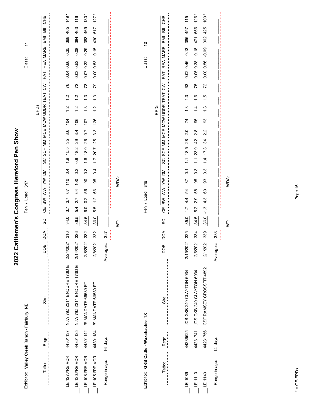| Exhibitor: Valley Creek Ranch - Fairbury, NE |          |                            |                   | 317<br>Pen / Load:                                                                                                                                                                            | ÷<br>Class:                              |
|----------------------------------------------|----------|----------------------------|-------------------|-----------------------------------------------------------------------------------------------------------------------------------------------------------------------------------------------|------------------------------------------|
|                                              |          |                            |                   | EPDs                                                                                                                                                                                          |                                          |
| Tattoo                                       | Regn     | Sire                       | DOA<br><b>BOO</b> | FAT<br>$\mathsf{S}$<br>TEAT<br>SCF MM MCE MCW UDDR<br>SC<br>ΜÜ<br>ξ<br>$\geqslant$<br>$\geqslant$<br>出<br>O<br>SC                                                                             | CHB<br>高<br>IMB<br>REA MARB              |
|                                              |          |                            |                   |                                                                                                                                                                                               |                                          |
| LE 127J/REVCR                                | 44301137 | NJW 79Z Z311 ENDURE 173D E | 316<br>2/24/2021  | 0.04<br>76<br>$\frac{2}{1}$<br>$\frac{2}{1}$<br>104<br>3.6<br>35<br>15.5<br>$\frac{0}{1}$<br>0.4<br>110<br>67<br>3.7<br>3.7<br>34.0                                                           | 149<br>465<br>368<br>0.35<br>0.66        |
| LE 120J/REVCR                                | 44301135 | NJW 79Z Z311 ENDURE 173D E | 326<br>2/14/2021  | 0.03<br>72<br>$\frac{2}{1}$<br>$\frac{2}{1}$<br>106<br>3.4<br>29<br>18.2<br>$\overline{0}$ .0<br>$0.\overline{3}$<br>100<br>84<br>2.7<br>5.4<br>36.5                                          | 116<br>463<br>384<br>0.08<br>0.52        |
| LE 108J/REVCR                                | 44301142 | /S MANDATE 66589 ET        | 332<br>2/8/2021   | 0.07<br>73<br>$\ddot{.}$<br>$\frac{3}{2}$<br>107<br>$\overline{0}$ .7<br>26<br>18.0<br>$\frac{6}{1}$<br>$0.\overline{3}$<br>$\mathsf{S}$<br>56<br>$\overline{0}$<br>$\overline{6}$ .0<br>34.5 | $130 *$<br>469<br>383<br>0.29<br>0.32    |
| LE 105J/REVCR                                | 44301184 | /S MANDATE 66589 ET        | 332<br>2/8/2021   | 0.00<br>54<br>$\frac{3}{2}$<br>2.<br>$\overline{\phantom{0}}$<br>126<br>$3.\overline{3}$<br>25<br>20.7<br>$\ddot{ }$ :<br>0.4<br>95<br>89<br>$\frac{2}{1}$<br>5.5<br>36.0                     | 127<br>517<br>430<br>0.15<br>0.53        |
| Range in age:                                | 16 days  |                            | 327<br>Averages:  |                                                                                                                                                                                               |                                          |
|                                              |          |                            |                   | WDA:<br>İ                                                                                                                                                                                     |                                          |
| Exhibitor: GKB Cattle - Waxahachie, TX       |          |                            |                   | 315<br>Pen / Load:                                                                                                                                                                            | 57<br>Class:                             |
|                                              |          |                            |                   | EPDs                                                                                                                                                                                          |                                          |
| Tattoo                                       | Regn     | Sire                       | δQ<br>DOB         | FAT<br>$\mathcal{S}$<br>SCF MM MCE MCW UDDR TEAT<br>SC<br>ΣÑ<br>⋛<br>$\geqslant$<br>$\geq$<br><b>UD</b><br>SC                                                                                 | <b>CHB</b><br>高<br>IMB<br>REA MARB       |
| LE 1089                                      | 44236525 | JCS GKB 240 CLAYTON 6034   | 325<br>2/15/2021  | 0.02<br>83<br>$\ddot{.}$<br>$\frac{3}{1}$<br>74<br>$-2.0$<br>28<br>18.5<br>$\tilde{\cdot}$<br>$\overline{Q}$ .<br>50<br>54<br>$4\overline{4}$<br>-1.7<br>35.0                                 | 115<br>457<br>385<br>0.13<br>0.46        |
| LE1110                                       | 44231741 | JCS GKB 240 CLAYTON 6034   | 334<br>2/6/2021   | 0.05<br>75<br>$\frac{6}{1}$<br>$\frac{1}{4}$<br>95<br>2.8<br>42<br>23.9<br>$\frac{1}{2}$<br>$0.\overline{3}$<br>95<br>58<br>2.9<br>5.2<br>34.5                                                | $126 *$<br>556<br>471<br>0.18<br>0.38    |
| LE 1140                                      | 44231756 | CSF RAMSEY CROSSFIT 4892   | 339<br>2/1/2021   | 0.00<br>72<br>$\frac{5}{1}$<br>$\frac{3}{1}$<br>33<br>2.2<br>34<br>17.3<br>$\frac{1}{4}$<br>$0.\overline{3}$<br>33<br>60<br>4.3<br>$-1.3$<br>36.0                                             | $100 *$<br>425<br>362<br>$-0.09$<br>0.56 |
| Range in age:                                | 14 days  |                            | 333<br>Averages:  |                                                                                                                                                                                               |                                          |
|                                              |          |                            |                   | WDA:<br>ξ                                                                                                                                                                                     |                                          |
|                                              |          |                            |                   |                                                                                                                                                                                               |                                          |

2022 Cattlemen's Congress Hereford Pen Show

Page 16

 $* = GE-EPDs$ \* = GE-EPDs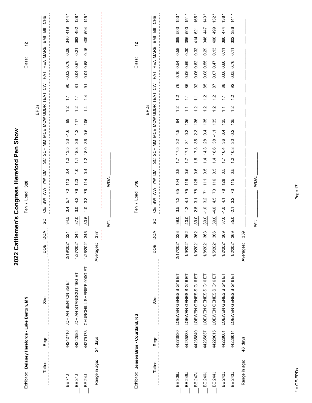|                                                |          |                           | 2022 Catt        | Congress Hereford Pen Show<br>lemen's                                                                                                                                                                                        |
|------------------------------------------------|----------|---------------------------|------------------|------------------------------------------------------------------------------------------------------------------------------------------------------------------------------------------------------------------------------|
| Exhibitor: Delaney Herefords - Lake Benton, MN |          |                           |                  | 57<br>Class:<br>328<br>Pen / Load:                                                                                                                                                                                           |
|                                                |          |                           | DOB              | 운<br>CHB<br>高<br><b>IMB</b><br><b>MARB</b><br><b>REA</b><br>$\mathsf{S}^{\mathsf{S}}$<br>TEAT<br>EPDs<br>SCF<br>SC<br><b>NO</b><br>ξ<br>$\geqslant$<br>B <sub>W</sub><br>UЧ<br>SC                                            |
| Tattoo                                         | Regn     | Sire                      | ЪО<              | FAT<br>MCE MCW UDDR<br>MM                                                                                                                                                                                                    |
| BE <sub>71</sub>                               | 44242716 | JDH AH BENTON 8G ET       | 321<br>2/19/2021 | $\frac{44}{3}$<br>419<br>340<br>0.06<br>0.76<br>$-0.02$<br>90<br>$\tilde{=}$<br>$\frac{2}{1}$<br>99<br>$-1.6$<br>33<br>13.5<br>$\frac{2}{1}$<br>0.4<br>113<br>$\overline{C}$<br>57<br>0.4<br>ro<br>Ŕ                         |
| <b>BE 31J</b>                                  | 44242585 | JDH AH STANDOUT 16G ET    | 344<br>1/27/2021 | 128<br>492<br>393<br>0.21<br>0.67<br>0.04<br>$\overleftarrow{\infty}$<br>$\tilde{\cdot}$<br>$\frac{2}{1}$<br>117<br>1.2<br>36<br>18.3<br>$\tilde{\cdot}$<br>$\frac{0}{1}$<br>123<br>76<br>4.3<br>$-3.0$<br>$\circ$<br>57     |
| <b>BE 24J</b>                                  | 44279173 | CHURCHILL SHERIFF 900G ET | 345<br>1/26/2021 | 145<br>504<br>409<br>0.15<br>0.68<br>0.04<br>5<br>$\overline{4}$<br>$\frac{1}{4}$<br>106<br>0.5<br>36<br>18.0<br>1.2<br>0.4<br>114<br>76<br>w<br>ო<br>$-1.0$<br>33.5                                                         |
| Range in age:                                  | 24 days  |                           | 337<br>Averages: |                                                                                                                                                                                                                              |
|                                                |          |                           |                  | WDA:<br>₹                                                                                                                                                                                                                    |
|                                                |          |                           |                  |                                                                                                                                                                                                                              |
| Exhibitor: Jensen Bros - Courtland, KS         |          |                           |                  | 57<br>Class:<br>316<br>Pen / Load:                                                                                                                                                                                           |
|                                                |          |                           |                  | EPDs                                                                                                                                                                                                                         |
| Tattoo                                         | Regn     | Sire                      | DОД<br>DOB       | 운<br>5<br>$\overline{\overline{\mathbf{a}}}$<br>BMI<br><b>MARB</b><br>REA<br>FAT<br>$\mathsf{S}$<br>TEAT<br>MCE MCW UDDR<br>SCF MM<br>SC<br><b>IMU</b><br>$\geqslant$<br>$\geqslant$<br>B <sub>W</sub><br>ĞΕ<br>ပ္တ          |
|                                                |          |                           |                  |                                                                                                                                                                                                                              |
| <b>BE 309J</b>                                 | 44273830 | LOEWEN GENESIS G16 ET     | 323<br>2/17/2021 | 153<br>503<br>389<br>0.58<br>0.10 0.54<br>76<br>$\frac{2}{1}$<br>$\frac{2}{1}$<br>34<br>4.9<br>32<br>17.5<br>$\ddot{ }$ :<br>$\frac{8}{2}$<br>104<br>65<br>$\frac{3}{1}$<br>3.5<br>39.0                                      |
| <b>BE 249J</b>                                 | 44235838 | LOEWEN GENESIS G16 ET     | 362<br>1/9/2021  | $\ast$<br>151<br>500<br>396<br>0.30<br>0.59<br>0.06<br>86<br>$\tilde{\mathcal{L}}$<br>$\tilde{\mathcal{L}}$<br>135<br>$0.\overline{3}$<br>$\frac{1}{5}$<br>17.1<br>$\ddot{ }$ :<br>0.5<br>119<br>75<br>4.1<br>$-1.2$<br>40.0 |
| <b>BE 247J</b>                                 | 44235840 | LOEWEN GENESIS G16 ET     | 362<br>1/9/2021  | 165<br>521<br>414<br>0.32<br>0.82<br>0.06<br>92<br>$\sum$<br>$\frac{2}{1}$<br>135<br>$2.\overline{3}$<br>35<br>17.3<br>$\frac{5}{1}$<br>$\overline{0}$<br>125<br>$\overline{78}$<br>$\overline{3}$ .<br>2.8<br>39.0          |
| BE 246J                                        | 44235837 | LOEWEN GENESIS G16 ET     | 363<br>1/8/2021  | 143<br>447<br>348<br>0.29<br>0.55<br>0.08<br>85<br>$\frac{1}{2}$<br>$\frac{2}{1}$<br>135<br>0.4<br>$^{28}$<br>14.3<br>$\frac{4}{3}$<br>0.5<br>111<br>$\overline{z}$<br>3.2<br>$-1.0$<br>39.0                                 |
| BE 244J                                        | 44228015 | LOEWEN GENESIS G16 ET     | 366<br>1/5/2021  | $\ast$<br>132<br>499<br>406<br>0.13<br>0.47<br>0.07<br>28<br>$\frac{2}{1}$<br>$\frac{2}{1}$<br>135<br>$\frac{1}{2}$<br>38<br>18.6<br>1.4<br>0.5<br>116<br>73<br>4.5<br>$-4.0$<br>39.0                                        |
| BE 242J                                        | 44228001 | LOEWEN GENESIS G16 ET     | 369<br>1/2/2021  | 138<br>474<br>380<br>0.11<br>0.60<br>0.06<br>88<br>$\tilde{\cdot}$<br>$\sum$<br>135<br>0.4<br>$36\,$<br>16.4<br>$\ddot{ }$ :<br>0.5<br>128<br>$\overline{78}$<br>$\frac{1}{4}$<br>$-1.0$<br>370                              |
| BE 243J                                        | 44228014 | LOEWEN GENESIS G16 ET     | 369<br>1/2/2021  | 141<br>386<br>302<br>$\overline{0.11}$<br>0.76<br>0.05<br>92<br>$\ddot{ }$<br>$\frac{2}{1}$<br>135<br>$-0.2$<br>$\infty$<br>10.8<br>1.2<br>0.5<br>115<br>73<br>3.2<br>$-2.1$<br>35.0                                         |
| Range in age:                                  | 46 days  |                           | 359<br>Averages: |                                                                                                                                                                                                                              |
|                                                |          |                           |                  | WDA:<br>İ                                                                                                                                                                                                                    |
|                                                |          |                           |                  |                                                                                                                                                                                                                              |

Page 17

 $* = GE-EPDs$ \* = GE-EPDs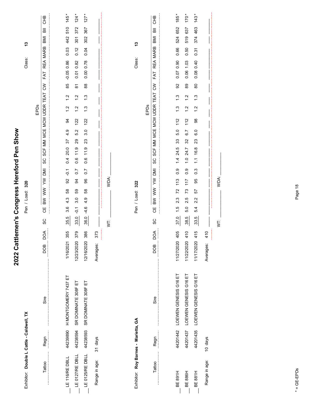| Exhibitor: Double L Cattle - Caldwell, TX |          |                                |                   | Class:<br>320<br>Pen / Load:                                                                                                                                                 | 13                                              |
|-------------------------------------------|----------|--------------------------------|-------------------|------------------------------------------------------------------------------------------------------------------------------------------------------------------------------|-------------------------------------------------|
| Tattoo                                    | Regn     | Sire                           | DOA<br><b>BOO</b> | FAT<br>SCF MM MCE MCW UDDR TEAT CW<br>EPDs<br>ပ္တ<br>BW WW YW DMI<br>Ψ<br>SC                                                                                                 | CHB<br>$\overline{a}$<br>BMI<br>REA MARB        |
| $LE 116$ /RE DBLL                         | 44239890 | H MONTGOMERY 7437 ET           | 355<br>1/16/2021  | $-0.05086$<br>85<br>$\frac{2}{1}$<br>$\frac{2}{1}$<br>3<br>4.9<br>57<br>20.0<br>0.4<br>$\overline{Q}$<br>92<br>58<br>4.3<br>36<br>35.5                                       | 145<br>510<br>442<br>0.03                       |
| $E$ 0127/RE DBLL                          | 44238594 | SR DOMINATE 308F ET            | 379<br>12/23/2020 | 0.01 0.82<br>$\overleftarrow{\infty}$<br>$\frac{2}{3}$<br>$\frac{2}{3}$<br>122<br>5.2<br>29<br>11.9<br>0.6<br>$\overline{0}$ .7<br>34<br>S9<br>3.0<br>$\overline{Q}$<br>33.0 | $124 *$<br>372<br>301<br>0.12                   |
| $E$ 0125/RE DBLL                          | 44238593 | SR DOMINATE 308F ET            | 386<br>12/16/2020 | 0.78<br>0.00<br>$^{\rm 8}$<br>$\frac{3}{2}$<br>$\ddot{.}3$<br>122<br>3.0<br>23<br>11.9<br>0.6<br>$\overline{0}$ .7<br>96<br>89<br>4.9<br>$-4.6$<br>36.0                      | $127 *$<br>367<br>302<br>0.04                   |
| Range in age:                             | 31 days  |                                | 373<br>Averages:  |                                                                                                                                                                              |                                                 |
|                                           |          |                                |                   | WDA:<br>İ.                                                                                                                                                                   |                                                 |
|                                           |          |                                |                   |                                                                                                                                                                              |                                                 |
| Exhibitor: Roy Barnes - Marietta, GA      |          |                                |                   | Class:<br>322<br>Pen / Load:                                                                                                                                                 | 13                                              |
|                                           |          |                                |                   | EPDs                                                                                                                                                                         |                                                 |
| Tattoo                                    | Regn     | Sire                           | DOA<br><b>BOD</b> | FAT<br>$\tilde{\varepsilon}$<br>TEAT<br>SCF MM MCE MCW UDDR<br>ပ္တ<br><b>IMI</b><br>$\geqslant$<br><b>NN</b><br>$\geqslant$<br>Ψ<br>SC                                       | <b>CHB</b><br>$\overline{a}$<br>IMB<br>REA MARB |
|                                           |          |                                |                   |                                                                                                                                                                              |                                                 |
| BE 891H                                   |          | 44201442 LOEWEN GENESIS G16 ET | 405<br>11/27/2020 | 0.07 0.90<br>92<br>$\frac{3}{1}$<br>$\frac{3}{1}$<br>112<br>5.0<br>33<br>24.5<br>$\frac{4}{1}$<br>0.9<br>113<br>72<br>$2.\overline{3}$<br>$\frac{6}{1}$<br>37.0              | 185 *<br>652<br>524<br>0.66                     |
| <b>BE 886H</b>                            | 44201437 | LOEWEN GENESIS G16 ET          | 410<br>11/22/2020 | 1.03<br>0.06<br>89<br>$\frac{2}{1}$<br>$\frac{2}{1}$<br>112<br>6.7<br>32<br>24.7<br>$\frac{0}{1}$<br>0.9<br>117<br>73<br>2.5<br>5.0<br>38.5                                  | $170 *$<br>637<br>519<br>0.50                   |
| BE 881H                                   |          | 44201435 LOEWEN GENESIS G16 ET | 415<br>11/17/2020 | 0.40<br>0.08<br>80<br>$\frac{3}{1}$<br>$\ddot{.}$<br>88<br>6.0<br>23<br>16.8<br>$\frac{1}{1}$<br>$0.\overline{3}$<br>95<br>57<br>2.2<br>5.4<br>33.5                          | $143 *$<br>463<br>374<br>0.31                   |
| Range in age:                             | 10 days  |                                | 410<br>Averages:  |                                                                                                                                                                              |                                                 |
|                                           |          |                                |                   | WDA:<br>İ                                                                                                                                                                    |                                                 |
|                                           |          |                                |                   |                                                                                                                                                                              |                                                 |

2022 Cattlemen's Congress Hereford Pen Show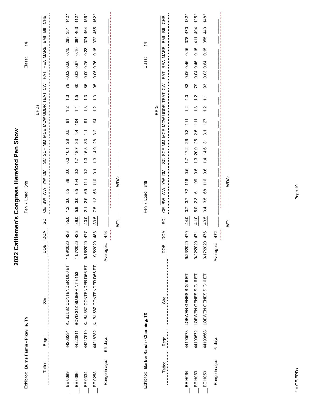| Exhibitor: Burns Farms - Pikeville, TN |          |                                |                   |      | 319<br>Pen / Load:                 |                  |                          |                       |                          |                |               |                       | Class:            |             | 4   |     |            |
|----------------------------------------|----------|--------------------------------|-------------------|------|------------------------------------|------------------|--------------------------|-----------------------|--------------------------|----------------|---------------|-----------------------|-------------------|-------------|-----|-----|------------|
|                                        |          |                                |                   |      |                                    |                  |                          |                       |                          | EPDs           |               |                       |                   |             |     |     |            |
| Tattoo                                 | Regn     | Sire                           | DOA<br><b>BOD</b> | SC   | ΣÑ<br>⋛<br>Š<br>$\geqslant$<br>Ψ   | SC               | SCF MM                   |                       | MCE MCW UDDR TEAT        |                |               | $\tilde{\varepsilon}$ | <b>REA</b><br>FAT | <b>MARB</b> | IMB | 高   | <b>CHB</b> |
|                                        |          |                                |                   |      |                                    |                  |                          |                       |                          |                |               |                       |                   |             |     |     |            |
| BE 0399                                | 44266234 | KJ BJ 58Z CONTENDER D56 ET     | 423<br>11/9/2020  | 35.0 | 88<br>55<br>36<br>$\frac{2}{1}$    | $\overline{0}$   | 10.1<br>$0.\overline{3}$ | 0.5<br>$\frac{8}{2}$  | $\overline{\infty}$      | $\frac{2}{1}$  | $\frac{3}{2}$ | 79                    | 0.56<br>$-0.02$   | 0.15        | 283 | 351 | 142        |
| BE 0396                                | 44220811 | BOYD 31Z BLUEPRINT 6153        | 425<br>11/7/2020  | 39.0 | 104<br>65<br>3.0<br>5.9            | 0.3              | 18.7<br>$\overline{1}$ . | $4\overline{4}$<br>33 | 104                      | $\overline{4}$ | $\frac{5}{1}$ | $80$                  | 0.03 0.67         | $-0.10$     | 394 | 463 | 112        |
| BE 0334                                | 44217919 | KJ BJ 58Z CONTENDER D56 ET     | 477<br>9/16/2020  | 40.0 | 111<br>69<br>2.9<br>2.1            | 0.2              | 15.3<br>$\ddot{1}$       | $\tilde{\cdot}$<br>33 | 5                        | $\frac{3}{1}$  | $\frac{3}{2}$ | 85                    | 0.75<br>0.00      | 0.23        | 374 | 464 | 156 *      |
| <b>BE0258</b>                          | 44218782 | KJ BJ 58Z CONTENDER D56 ET     | 488<br>9/5/2020   | 39.5 | 110<br>89<br>$\ddot{.}3$<br>75     | $\overline{C}$   | 14.9<br>$\frac{3}{1}$    | 3.2<br>$^{28}$        | 3                        | $\frac{2}{1}$  | $\frac{3}{2}$ | 95                    | 0.76<br>0.05      | 0.15        | 372 | 455 | 162        |
| Range in age:                          | 65 days  |                                | 453<br>Averages:  |      |                                    |                  |                          |                       |                          |                |               |                       |                   |             |     |     |            |
|                                        |          |                                |                   | İ    | WDA:                               |                  |                          |                       |                          |                |               |                       |                   |             |     |     |            |
|                                        |          |                                |                   |      |                                    |                  |                          |                       |                          |                |               |                       |                   |             |     |     |            |
| Exhibitor: Barber Ranch - Channing, TX |          |                                |                   |      | Pen / Load: 318                    |                  |                          |                       |                          |                |               |                       | Class:            |             | 4   |     |            |
|                                        |          |                                |                   |      |                                    |                  |                          |                       |                          | EPDs           |               |                       |                   |             |     |     |            |
| Tattoo                                 | Regn     | Sire                           | DOA<br><b>BOD</b> | SC   | BW WW YW<br>巴<br>O                 | SC<br><b>INU</b> |                          |                       | SCF MM MCE MCW UDDR TEAT |                |               | $\lesssim$            | FAT               | REA MARB    | BMI | 高   | <b>CHB</b> |
|                                        |          |                                |                   |      |                                    |                  |                          |                       |                          |                |               |                       |                   |             |     |     |            |
| BE H064                                |          | 44190573 LOEWEN GENESIS G16 ET | 470<br>9/23/2020  | 44.0 | 118<br>72<br>3.7<br>$-0.7$         | 0.5              | $1.7$ $17.2$             | $-0.3$<br>26          | $\frac{1}{11}$           | $\frac{1}{2}$  | $\frac{0}{1}$ | 83                    | 0.06 0.46         | 0.15        | 378 | 470 | 132        |
| BE H <sub>063</sub>                    | 44190572 | LOEWEN GENESIS G16 ET          | 471<br>9/22/2020  | 41.0 | 99<br>67<br>2.3<br>5.0             | 0.5              | 20.0<br>$\ddot{1}$       | 2.5<br>25             | 111                      | $\frac{3}{1}$  | $\frac{2}{1}$ | 79                    | 0.45<br>0.04      | 0.15        | 41  | 494 | 125        |
| BE H <sub>059</sub>                    | 44190568 | LOEWEN GENESIS G16 ET          | 476<br>9/17/2020  | 43.5 | 116<br>68<br>3.5<br>$\overline{0}$ | 0.6              | 14.6<br>$1\overline{4}$  | 3.1<br>94             | 127                      | $\frac{2}{1}$  | $\frac{1}{1}$ | 33                    | 0.64<br>0.03      | 0.15        | 355 | 440 | $148 *$    |
| Range in age:                          | 6 days   |                                | 472<br>Averages:  |      |                                    |                  |                          |                       |                          |                |               |                       |                   |             |     |     |            |
|                                        |          |                                |                   | Ş    | WDA:                               |                  |                          |                       |                          |                |               |                       |                   |             |     |     |            |
|                                        |          |                                |                   |      |                                    |                  |                          |                       |                          |                |               |                       |                   |             |     |     |            |

2022 Cattlemen's Congress Hereford Pen Show

 $* = GE-EPDs$ \* = GE-EPDs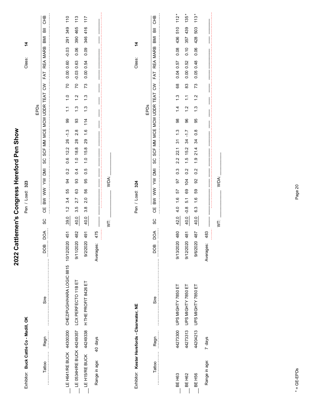| Exhibitor: Buck Cattle Co - Madill, OK                 |          |                                             |                                     | 323<br>Pen / Load:                                                                                                                                                                                                                                                                  | 4<br>Class:                                                            |
|--------------------------------------------------------|----------|---------------------------------------------|-------------------------------------|-------------------------------------------------------------------------------------------------------------------------------------------------------------------------------------------------------------------------------------------------------------------------------------|------------------------------------------------------------------------|
| Tattoo                                                 | Regn     | Sire                                        | DOA<br>DOB                          | FAT<br>$\mathsf{S}^{\mathsf{S}}$<br>SCF MM MCE MCW UDDR TEAT<br>EPDs<br>SC<br>IMO AVA<br>$\sum_{i=1}^{n}$<br>$\geqslant$<br>Ψ<br>SC                                                                                                                                                 | <b>CHB</b><br>$\overline{\overline{a}}$<br><b>IMB</b><br>REA MARB      |
| LE H641/RE BUCK 44300200                               |          | CHEZ/PUGH/HARA LOGIC 8815 10/12/2020        | 451                                 | 0.00 0.60<br>$\overline{C}$<br>$\frac{0}{1}$<br>$\tilde{\cdot}$<br>8<br>$-1.3$<br>26<br>12.2<br>$0.\overline{6}$<br>0.2<br>84<br>55<br>3.4<br>$\frac{2}{1}$<br>39.0                                                                                                                 | 110<br>349<br>291<br>$-0.03$                                           |
| LE H15/RE BUCK $44249338$<br>LE 0534H/RE BUCK 44249357 |          | LCX PERFECTO 11B ET<br>H THE PROFIT 8426 ET | 482<br>491<br>9/2/2020<br>9/11/2020 | $-0.03$<br>0.00<br>20<br>73<br>$\frac{2}{1}$<br>$\frac{3}{1}$<br>$\ddot{.}$<br>$\frac{3}{1}$<br>33<br>114<br>2.8<br>$\frac{6}{1}$<br>29<br>$28$<br>18.8<br>15.8<br>$\frac{0}{1}$<br>$\frac{0}{1}$<br>0.4<br>0.5<br>33<br>95<br>56<br>යි<br>2.0<br>2.7<br>3.5<br>3.8<br>40.0<br>40.0 | 113<br>117<br>465<br>416<br>390<br>346<br>0.06<br>0.09<br>0.63<br>0.54 |
| Range in age:                                          | 40 days  |                                             | 475<br>Averages:                    |                                                                                                                                                                                                                                                                                     |                                                                        |
|                                                        |          |                                             |                                     | WDA:<br>Ż                                                                                                                                                                                                                                                                           |                                                                        |
| Exhibitor: Kester Herefords - Clearwater, NE           |          |                                             |                                     | Pen / Load: 324                                                                                                                                                                                                                                                                     | 4<br>Class:                                                            |
| Tattoo                                                 | Regn     | Sire                                        | DOA<br>DOB                          | FAT<br>$\mathsf{S}^{\mathsf{S}}$<br>SCF MM MCE MCW UDDR TEAT<br>EPDs<br>SC<br><b>IMI</b><br>⋛<br>$\geqslant$<br>$\geqslant$<br>Ψ<br>SC                                                                                                                                              | 9HD<br>BMI<br>REA MARB                                                 |
| BE H <sub>63</sub>                                     | 44273300 | UPS MIGHTY 7850 ET                          | 480<br>9/13/2020                    | 0.04<br>68<br>$\frac{3}{1}$<br>$\overline{4}$<br>98<br>$\frac{3}{2}$<br>$\tilde{\bm{c}}$<br>22.1<br>2.2<br>$0.\overline{3}$<br>5<br>57<br>$\frac{6}{1}$<br>4.0<br>42.0                                                                                                              | 112<br>510<br>436<br>0.08<br>0.57                                      |
| BE H <sub>62</sub>                                     | 44273313 | UPS MIGHTY 7850 ET                          | 481<br>9/12/2020                    | 0.00<br>83<br>$\tilde{\cdot}$<br>$\frac{2}{1}$<br>96<br>$\frac{1}{2}$<br>34<br>15.2<br>$\frac{1}{1}$<br>0.2<br>104<br>69<br>$\overline{5}$ .<br>$-0.8$<br>40.0                                                                                                                      | $135 *$<br>439<br>357<br>0.10<br>0.52                                  |
| BE H <sub>56</sub>                                     | 44204213 | UPS MIGHTY 7850 ET                          | 487<br>9/6/2020                     | 0.05<br>73<br>$\frac{2}{1}$<br>$\frac{3}{1}$<br>95<br>$\frac{8}{2}$<br>34<br>21.4<br>$\frac{0}{1}$<br>0.2<br>95<br>65<br>$\frac{6}{1}$<br>6.3<br>40.0                                                                                                                               | 113<br>503<br>428<br>0.06<br>0.48                                      |
| Range in age:                                          | 7 days   |                                             | 483<br>Averages:                    |                                                                                                                                                                                                                                                                                     |                                                                        |
|                                                        |          |                                             |                                     | WDA:<br>5                                                                                                                                                                                                                                                                           |                                                                        |
|                                                        |          |                                             |                                     |                                                                                                                                                                                                                                                                                     |                                                                        |

# 2022 Cattlemen's Congress Hereford Pen Show **2022 Cattlemen's Congress Hereford Pen Show**